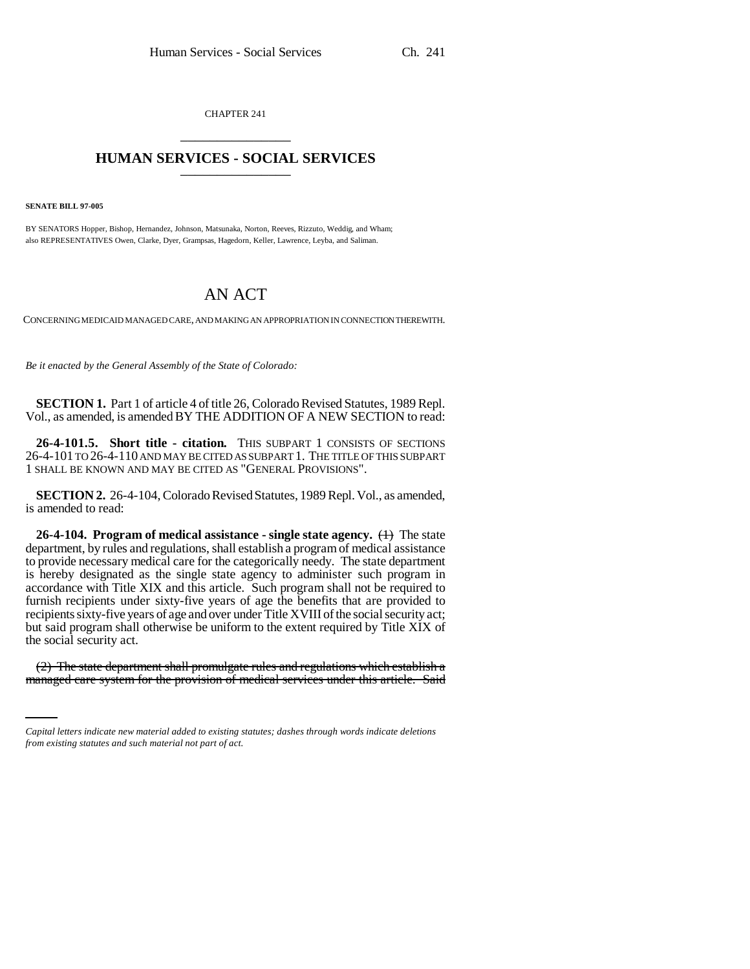CHAPTER 241 \_\_\_\_\_\_\_\_\_\_\_\_\_\_\_

# **HUMAN SERVICES - SOCIAL SERVICES** \_\_\_\_\_\_\_\_\_\_\_\_\_\_\_

**SENATE BILL 97-005**

BY SENATORS Hopper, Bishop, Hernandez, Johnson, Matsunaka, Norton, Reeves, Rizzuto, Weddig, and Wham; also REPRESENTATIVES Owen, Clarke, Dyer, Grampsas, Hagedorn, Keller, Lawrence, Leyba, and Saliman.

# AN ACT

CONCERNING MEDICAID MANAGED CARE, AND MAKING AN APPROPRIATION IN CONNECTION THEREWITH.

*Be it enacted by the General Assembly of the State of Colorado:*

**SECTION 1.** Part 1 of article 4 of title 26, Colorado Revised Statutes, 1989 Repl. Vol., as amended, is amended BY THE ADDITION OF A NEW SECTION to read:

**26-4-101.5. Short title - citation.** THIS SUBPART 1 CONSISTS OF SECTIONS 26-4-101 TO 26-4-110 AND MAY BE CITED AS SUBPART 1. THE TITLE OF THIS SUBPART 1 SHALL BE KNOWN AND MAY BE CITED AS "GENERAL PROVISIONS".

**SECTION 2.** 26-4-104, Colorado Revised Statutes, 1989 Repl. Vol., as amended, is amended to read:

**26-4-104. Program of medical assistance - single state agency.** (1) The state department, by rules and regulations, shall establish a program of medical assistance to provide necessary medical care for the categorically needy. The state department is hereby designated as the single state agency to administer such program in accordance with Title XIX and this article. Such program shall not be required to furnish recipients under sixty-five years of age the benefits that are provided to recipients sixty-five years of age and over under Title XVIII of the social security act; but said program shall otherwise be uniform to the extent required by Title XIX of the social security act.

 (2) The state department shall promulgate rules and regulations which establish a managed care system for the provision of medical services under this article. Said

*Capital letters indicate new material added to existing statutes; dashes through words indicate deletions from existing statutes and such material not part of act.*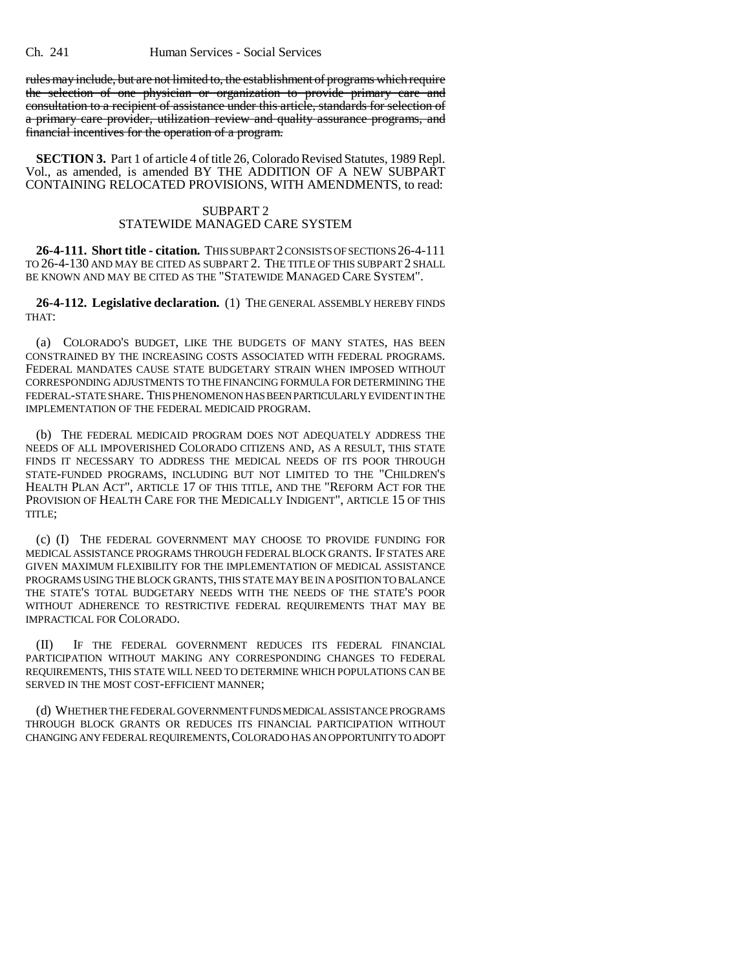rules may include, but are not limited to, the establishment of programs which require the selection of one physician or organization to provide primary care and consultation to a recipient of assistance under this article, standards for selection of a primary care provider, utilization review and quality assurance programs, and financial incentives for the operation of a program.

**SECTION 3.** Part 1 of article 4 of title 26, Colorado Revised Statutes, 1989 Repl. Vol., as amended, is amended BY THE ADDITION OF A NEW SUBPART CONTAINING RELOCATED PROVISIONS, WITH AMENDMENTS, to read:

### SUBPART 2 STATEWIDE MANAGED CARE SYSTEM

**26-4-111. Short title - citation.** THIS SUBPART 2 CONSISTS OF SECTIONS 26-4-111 TO 26-4-130 AND MAY BE CITED AS SUBPART 2. THE TITLE OF THIS SUBPART 2 SHALL BE KNOWN AND MAY BE CITED AS THE "STATEWIDE MANAGED CARE SYSTEM".

**26-4-112. Legislative declaration.** (1) THE GENERAL ASSEMBLY HEREBY FINDS THAT:

(a) COLORADO'S BUDGET, LIKE THE BUDGETS OF MANY STATES, HAS BEEN CONSTRAINED BY THE INCREASING COSTS ASSOCIATED WITH FEDERAL PROGRAMS. FEDERAL MANDATES CAUSE STATE BUDGETARY STRAIN WHEN IMPOSED WITHOUT CORRESPONDING ADJUSTMENTS TO THE FINANCING FORMULA FOR DETERMINING THE FEDERAL-STATE SHARE. THIS PHENOMENON HAS BEEN PARTICULARLY EVIDENT IN THE IMPLEMENTATION OF THE FEDERAL MEDICAID PROGRAM.

(b) THE FEDERAL MEDICAID PROGRAM DOES NOT ADEQUATELY ADDRESS THE NEEDS OF ALL IMPOVERISHED COLORADO CITIZENS AND, AS A RESULT, THIS STATE FINDS IT NECESSARY TO ADDRESS THE MEDICAL NEEDS OF ITS POOR THROUGH STATE-FUNDED PROGRAMS, INCLUDING BUT NOT LIMITED TO THE "CHILDREN'S HEALTH PLAN ACT", ARTICLE 17 OF THIS TITLE, AND THE "REFORM ACT FOR THE PROVISION OF HEALTH CARE FOR THE MEDICALLY INDIGENT", ARTICLE 15 OF THIS TITLE;

(c) (I) THE FEDERAL GOVERNMENT MAY CHOOSE TO PROVIDE FUNDING FOR MEDICAL ASSISTANCE PROGRAMS THROUGH FEDERAL BLOCK GRANTS. IF STATES ARE GIVEN MAXIMUM FLEXIBILITY FOR THE IMPLEMENTATION OF MEDICAL ASSISTANCE PROGRAMS USING THE BLOCK GRANTS, THIS STATE MAY BE IN A POSITION TO BALANCE THE STATE'S TOTAL BUDGETARY NEEDS WITH THE NEEDS OF THE STATE'S POOR WITHOUT ADHERENCE TO RESTRICTIVE FEDERAL REQUIREMENTS THAT MAY BE IMPRACTICAL FOR COLORADO.

(II) IF THE FEDERAL GOVERNMENT REDUCES ITS FEDERAL FINANCIAL PARTICIPATION WITHOUT MAKING ANY CORRESPONDING CHANGES TO FEDERAL REQUIREMENTS, THIS STATE WILL NEED TO DETERMINE WHICH POPULATIONS CAN BE SERVED IN THE MOST COST-EFFICIENT MANNER;

(d) WHETHER THE FEDERAL GOVERNMENT FUNDS MEDICAL ASSISTANCE PROGRAMS THROUGH BLOCK GRANTS OR REDUCES ITS FINANCIAL PARTICIPATION WITHOUT CHANGING ANY FEDERAL REQUIREMENTS,COLORADO HAS AN OPPORTUNITY TO ADOPT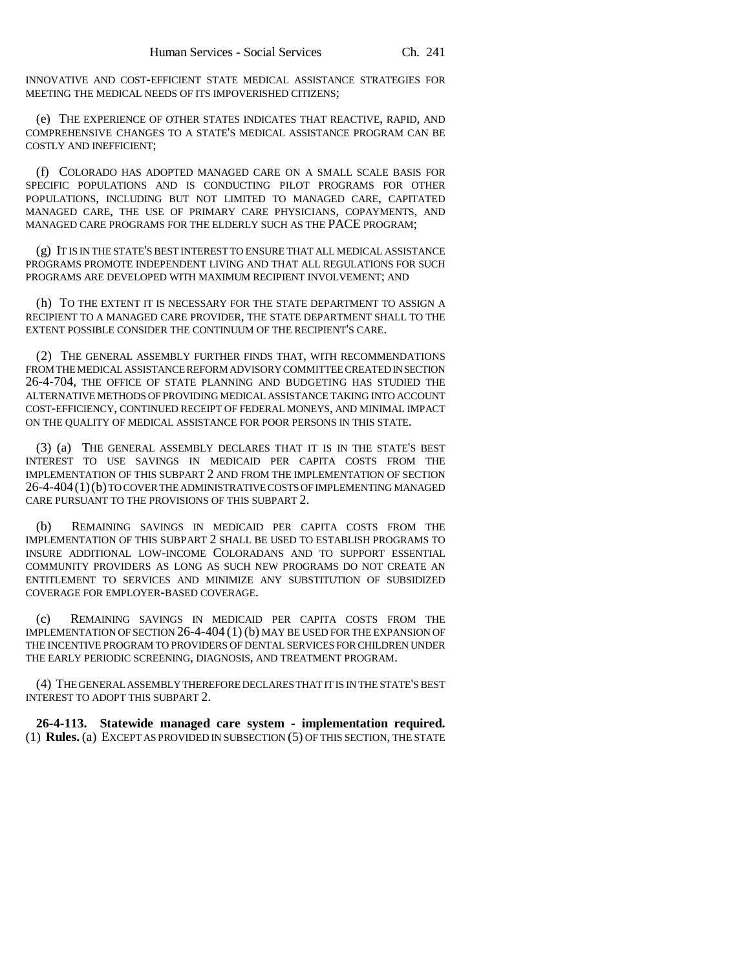INNOVATIVE AND COST-EFFICIENT STATE MEDICAL ASSISTANCE STRATEGIES FOR MEETING THE MEDICAL NEEDS OF ITS IMPOVERISHED CITIZENS;

(e) THE EXPERIENCE OF OTHER STATES INDICATES THAT REACTIVE, RAPID, AND COMPREHENSIVE CHANGES TO A STATE'S MEDICAL ASSISTANCE PROGRAM CAN BE COSTLY AND INEFFICIENT;

(f) COLORADO HAS ADOPTED MANAGED CARE ON A SMALL SCALE BASIS FOR SPECIFIC POPULATIONS AND IS CONDUCTING PILOT PROGRAMS FOR OTHER POPULATIONS, INCLUDING BUT NOT LIMITED TO MANAGED CARE, CAPITATED MANAGED CARE, THE USE OF PRIMARY CARE PHYSICIANS, COPAYMENTS, AND MANAGED CARE PROGRAMS FOR THE ELDERLY SUCH AS THE PACE PROGRAM;

(g) IT IS IN THE STATE'S BEST INTEREST TO ENSURE THAT ALL MEDICAL ASSISTANCE PROGRAMS PROMOTE INDEPENDENT LIVING AND THAT ALL REGULATIONS FOR SUCH PROGRAMS ARE DEVELOPED WITH MAXIMUM RECIPIENT INVOLVEMENT; AND

(h) TO THE EXTENT IT IS NECESSARY FOR THE STATE DEPARTMENT TO ASSIGN A RECIPIENT TO A MANAGED CARE PROVIDER, THE STATE DEPARTMENT SHALL TO THE EXTENT POSSIBLE CONSIDER THE CONTINUUM OF THE RECIPIENT'S CARE.

(2) THE GENERAL ASSEMBLY FURTHER FINDS THAT, WITH RECOMMENDATIONS FROM THE MEDICAL ASSISTANCE REFORM ADVISORY COMMITTEE CREATED IN SECTION 26-4-704, THE OFFICE OF STATE PLANNING AND BUDGETING HAS STUDIED THE ALTERNATIVE METHODS OF PROVIDING MEDICAL ASSISTANCE TAKING INTO ACCOUNT COST-EFFICIENCY, CONTINUED RECEIPT OF FEDERAL MONEYS, AND MINIMAL IMPACT ON THE QUALITY OF MEDICAL ASSISTANCE FOR POOR PERSONS IN THIS STATE.

(3) (a) THE GENERAL ASSEMBLY DECLARES THAT IT IS IN THE STATE'S BEST INTEREST TO USE SAVINGS IN MEDICAID PER CAPITA COSTS FROM THE IMPLEMENTATION OF THIS SUBPART 2 AND FROM THE IMPLEMENTATION OF SECTION 26-4-404(1)(b) TO COVER THE ADMINISTRATIVE COSTS OF IMPLEMENTING MANAGED CARE PURSUANT TO THE PROVISIONS OF THIS SUBPART 2.

(b) REMAINING SAVINGS IN MEDICAID PER CAPITA COSTS FROM THE IMPLEMENTATION OF THIS SUBPART 2 SHALL BE USED TO ESTABLISH PROGRAMS TO INSURE ADDITIONAL LOW-INCOME COLORADANS AND TO SUPPORT ESSENTIAL COMMUNITY PROVIDERS AS LONG AS SUCH NEW PROGRAMS DO NOT CREATE AN ENTITLEMENT TO SERVICES AND MINIMIZE ANY SUBSTITUTION OF SUBSIDIZED COVERAGE FOR EMPLOYER-BASED COVERAGE.

(c) REMAINING SAVINGS IN MEDICAID PER CAPITA COSTS FROM THE IMPLEMENTATION OF SECTION 26-4-404 (1) (b) MAY BE USED FOR THE EXPANSION OF THE INCENTIVE PROGRAM TO PROVIDERS OF DENTAL SERVICES FOR CHILDREN UNDER THE EARLY PERIODIC SCREENING, DIAGNOSIS, AND TREATMENT PROGRAM.

(4) THE GENERAL ASSEMBLY THEREFORE DECLARES THAT IT IS IN THE STATE'S BEST INTEREST TO ADOPT THIS SUBPART 2.

**26-4-113. Statewide managed care system - implementation required.** (1) **Rules.** (a) EXCEPT AS PROVIDED IN SUBSECTION (5) OF THIS SECTION, THE STATE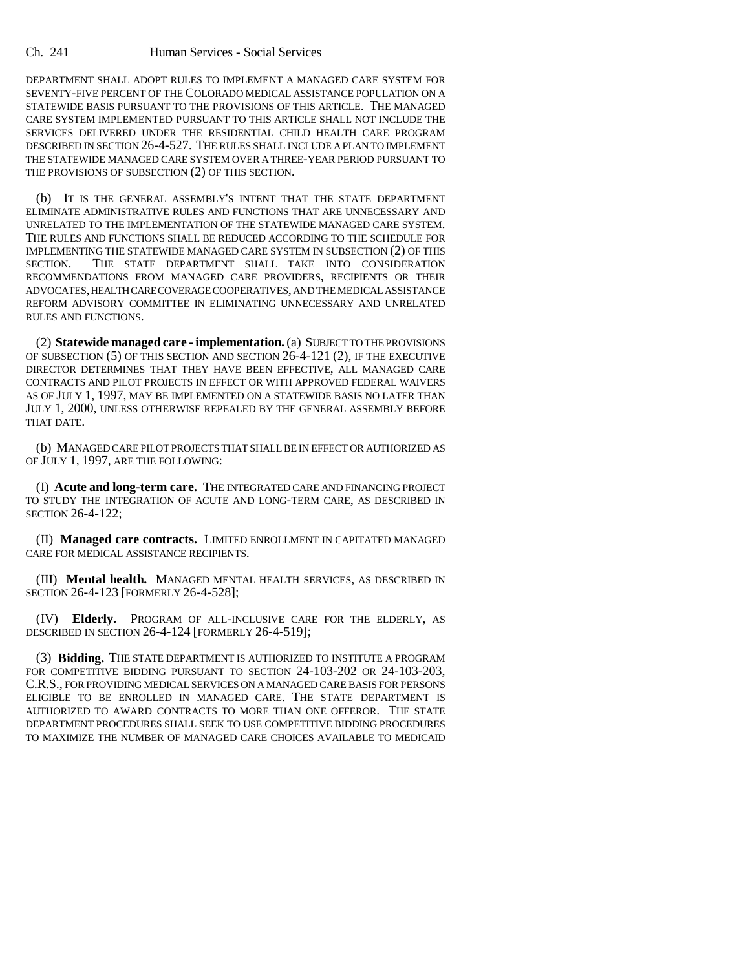DEPARTMENT SHALL ADOPT RULES TO IMPLEMENT A MANAGED CARE SYSTEM FOR SEVENTY-FIVE PERCENT OF THE COLORADO MEDICAL ASSISTANCE POPULATION ON A STATEWIDE BASIS PURSUANT TO THE PROVISIONS OF THIS ARTICLE. THE MANAGED CARE SYSTEM IMPLEMENTED PURSUANT TO THIS ARTICLE SHALL NOT INCLUDE THE SERVICES DELIVERED UNDER THE RESIDENTIAL CHILD HEALTH CARE PROGRAM DESCRIBED IN SECTION 26-4-527. THE RULES SHALL INCLUDE A PLAN TO IMPLEMENT THE STATEWIDE MANAGED CARE SYSTEM OVER A THREE-YEAR PERIOD PURSUANT TO THE PROVISIONS OF SUBSECTION (2) OF THIS SECTION.

(b) IT IS THE GENERAL ASSEMBLY'S INTENT THAT THE STATE DEPARTMENT ELIMINATE ADMINISTRATIVE RULES AND FUNCTIONS THAT ARE UNNECESSARY AND UNRELATED TO THE IMPLEMENTATION OF THE STATEWIDE MANAGED CARE SYSTEM. THE RULES AND FUNCTIONS SHALL BE REDUCED ACCORDING TO THE SCHEDULE FOR IMPLEMENTING THE STATEWIDE MANAGED CARE SYSTEM IN SUBSECTION (2) OF THIS SECTION. THE STATE DEPARTMENT SHALL TAKE INTO CONSIDERATION RECOMMENDATIONS FROM MANAGED CARE PROVIDERS, RECIPIENTS OR THEIR ADVOCATES, HEALTH CARE COVERAGE COOPERATIVES, AND THE MEDICAL ASSISTANCE REFORM ADVISORY COMMITTEE IN ELIMINATING UNNECESSARY AND UNRELATED RULES AND FUNCTIONS.

(2) **Statewide managed care - implementation.** (a) SUBJECT TO THE PROVISIONS OF SUBSECTION (5) OF THIS SECTION AND SECTION 26-4-121 (2), IF THE EXECUTIVE DIRECTOR DETERMINES THAT THEY HAVE BEEN EFFECTIVE, ALL MANAGED CARE CONTRACTS AND PILOT PROJECTS IN EFFECT OR WITH APPROVED FEDERAL WAIVERS AS OF JULY 1, 1997, MAY BE IMPLEMENTED ON A STATEWIDE BASIS NO LATER THAN JULY 1, 2000, UNLESS OTHERWISE REPEALED BY THE GENERAL ASSEMBLY BEFORE THAT DATE.

(b) MANAGED CARE PILOT PROJECTS THAT SHALL BE IN EFFECT OR AUTHORIZED AS OF JULY 1, 1997, ARE THE FOLLOWING:

(I) **Acute and long-term care.** THE INTEGRATED CARE AND FINANCING PROJECT TO STUDY THE INTEGRATION OF ACUTE AND LONG-TERM CARE, AS DESCRIBED IN SECTION 26-4-122;

(II) **Managed care contracts.** LIMITED ENROLLMENT IN CAPITATED MANAGED CARE FOR MEDICAL ASSISTANCE RECIPIENTS.

(III) **Mental health.** MANAGED MENTAL HEALTH SERVICES, AS DESCRIBED IN SECTION 26-4-123 [FORMERLY 26-4-528];

(IV) **Elderly.** PROGRAM OF ALL-INCLUSIVE CARE FOR THE ELDERLY, AS DESCRIBED IN SECTION 26-4-124 [FORMERLY 26-4-519];

(3) **Bidding.** THE STATE DEPARTMENT IS AUTHORIZED TO INSTITUTE A PROGRAM FOR COMPETITIVE BIDDING PURSUANT TO SECTION 24-103-202 OR 24-103-203, C.R.S., FOR PROVIDING MEDICAL SERVICES ON A MANAGED CARE BASIS FOR PERSONS ELIGIBLE TO BE ENROLLED IN MANAGED CARE. THE STATE DEPARTMENT IS AUTHORIZED TO AWARD CONTRACTS TO MORE THAN ONE OFFEROR. THE STATE DEPARTMENT PROCEDURES SHALL SEEK TO USE COMPETITIVE BIDDING PROCEDURES TO MAXIMIZE THE NUMBER OF MANAGED CARE CHOICES AVAILABLE TO MEDICAID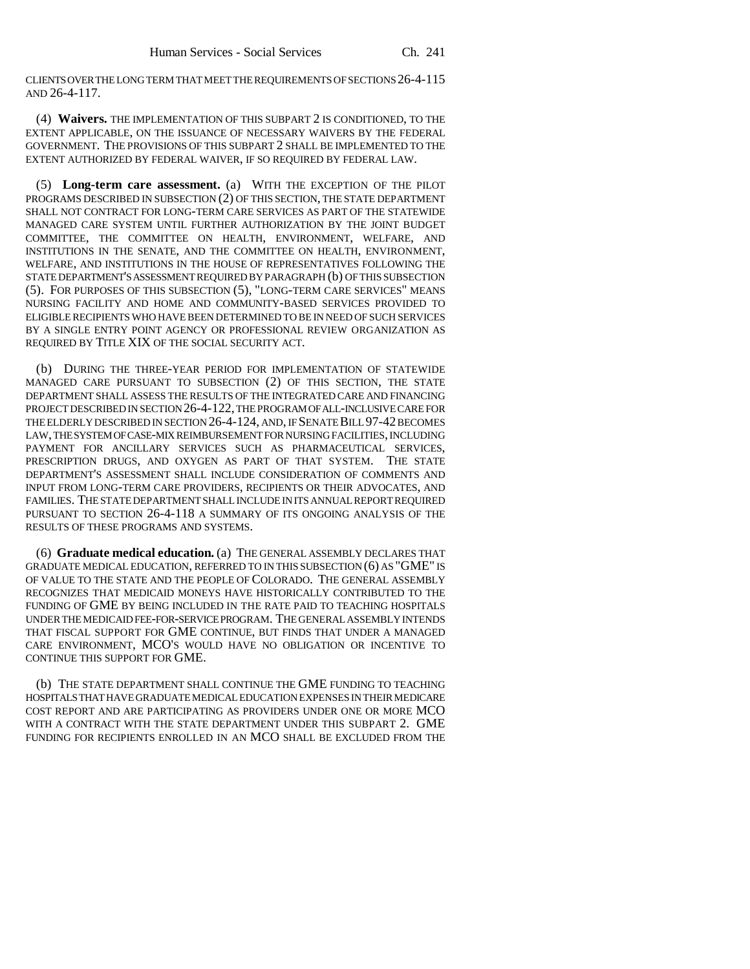CLIENTS OVER THE LONG TERM THAT MEET THE REQUIREMENTS OF SECTIONS 26-4-115 AND 26-4-117.

(4) **Waivers.** THE IMPLEMENTATION OF THIS SUBPART 2 IS CONDITIONED, TO THE EXTENT APPLICABLE, ON THE ISSUANCE OF NECESSARY WAIVERS BY THE FEDERAL GOVERNMENT. THE PROVISIONS OF THIS SUBPART 2 SHALL BE IMPLEMENTED TO THE EXTENT AUTHORIZED BY FEDERAL WAIVER, IF SO REQUIRED BY FEDERAL LAW.

(5) **Long-term care assessment.** (a) WITH THE EXCEPTION OF THE PILOT PROGRAMS DESCRIBED IN SUBSECTION (2) OF THIS SECTION, THE STATE DEPARTMENT SHALL NOT CONTRACT FOR LONG-TERM CARE SERVICES AS PART OF THE STATEWIDE MANAGED CARE SYSTEM UNTIL FURTHER AUTHORIZATION BY THE JOINT BUDGET COMMITTEE, THE COMMITTEE ON HEALTH, ENVIRONMENT, WELFARE, AND INSTITUTIONS IN THE SENATE, AND THE COMMITTEE ON HEALTH, ENVIRONMENT, WELFARE, AND INSTITUTIONS IN THE HOUSE OF REPRESENTATIVES FOLLOWING THE STATE DEPARTMENT'S ASSESSMENT REQUIRED BY PARAGRAPH (b) OF THIS SUBSECTION (5). FOR PURPOSES OF THIS SUBSECTION (5), "LONG-TERM CARE SERVICES" MEANS NURSING FACILITY AND HOME AND COMMUNITY-BASED SERVICES PROVIDED TO ELIGIBLE RECIPIENTS WHO HAVE BEEN DETERMINED TO BE IN NEED OF SUCH SERVICES BY A SINGLE ENTRY POINT AGENCY OR PROFESSIONAL REVIEW ORGANIZATION AS REQUIRED BY TITLE XIX OF THE SOCIAL SECURITY ACT.

(b) DURING THE THREE-YEAR PERIOD FOR IMPLEMENTATION OF STATEWIDE MANAGED CARE PURSUANT TO SUBSECTION (2) OF THIS SECTION, THE STATE DEPARTMENT SHALL ASSESS THE RESULTS OF THE INTEGRATED CARE AND FINANCING PROJECT DESCRIBED IN SECTION 26-4-122, THE PROGRAM OF ALL-INCLUSIVE CARE FOR THE ELDERLY DESCRIBED IN SECTION 26-4-124, AND, IF SENATE BILL 97-42 BECOMES LAW, THE SYSTEM OF CASE-MIX REIMBURSEMENT FOR NURSING FACILITIES, INCLUDING PAYMENT FOR ANCILLARY SERVICES SUCH AS PHARMACEUTICAL SERVICES, PRESCRIPTION DRUGS, AND OXYGEN AS PART OF THAT SYSTEM. THE STATE DEPARTMENT'S ASSESSMENT SHALL INCLUDE CONSIDERATION OF COMMENTS AND INPUT FROM LONG-TERM CARE PROVIDERS, RECIPIENTS OR THEIR ADVOCATES, AND FAMILIES. THE STATE DEPARTMENT SHALL INCLUDE IN ITS ANNUAL REPORT REQUIRED PURSUANT TO SECTION 26-4-118 A SUMMARY OF ITS ONGOING ANALYSIS OF THE RESULTS OF THESE PROGRAMS AND SYSTEMS.

(6) **Graduate medical education.** (a) THE GENERAL ASSEMBLY DECLARES THAT GRADUATE MEDICAL EDUCATION, REFERRED TO IN THIS SUBSECTION (6) AS "GME" IS OF VALUE TO THE STATE AND THE PEOPLE OF COLORADO. THE GENERAL ASSEMBLY RECOGNIZES THAT MEDICAID MONEYS HAVE HISTORICALLY CONTRIBUTED TO THE FUNDING OF GME BY BEING INCLUDED IN THE RATE PAID TO TEACHING HOSPITALS UNDER THE MEDICAID FEE-FOR-SERVICE PROGRAM. THE GENERAL ASSEMBLY INTENDS THAT FISCAL SUPPORT FOR GME CONTINUE, BUT FINDS THAT UNDER A MANAGED CARE ENVIRONMENT, MCO'S WOULD HAVE NO OBLIGATION OR INCENTIVE TO CONTINUE THIS SUPPORT FOR GME.

(b) THE STATE DEPARTMENT SHALL CONTINUE THE GME FUNDING TO TEACHING HOSPITALS THAT HAVE GRADUATE MEDICAL EDUCATION EXPENSES IN THEIR MEDICARE COST REPORT AND ARE PARTICIPATING AS PROVIDERS UNDER ONE OR MORE MCO WITH A CONTRACT WITH THE STATE DEPARTMENT UNDER THIS SUBPART 2. GME FUNDING FOR RECIPIENTS ENROLLED IN AN MCO SHALL BE EXCLUDED FROM THE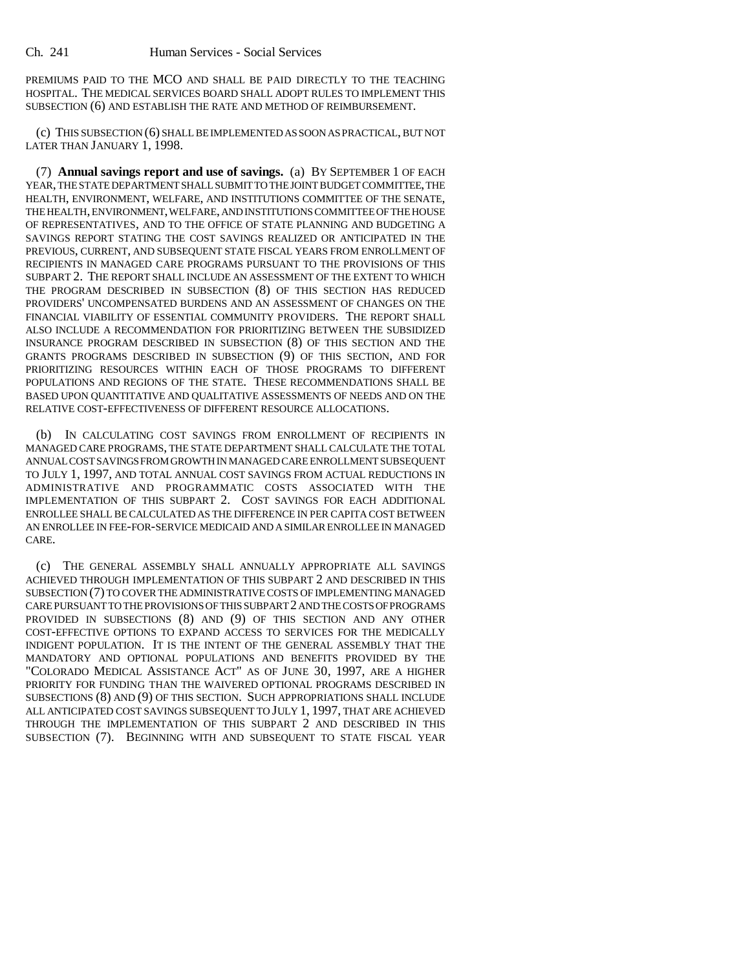PREMIUMS PAID TO THE MCO AND SHALL BE PAID DIRECTLY TO THE TEACHING HOSPITAL. THE MEDICAL SERVICES BOARD SHALL ADOPT RULES TO IMPLEMENT THIS SUBSECTION (6) AND ESTABLISH THE RATE AND METHOD OF REIMBURSEMENT.

(c) THIS SUBSECTION (6) SHALL BE IMPLEMENTED AS SOON AS PRACTICAL, BUT NOT LATER THAN JANUARY 1, 1998.

(7) **Annual savings report and use of savings.** (a) BY SEPTEMBER 1 OF EACH YEAR, THE STATE DEPARTMENT SHALL SUBMIT TO THE JOINT BUDGET COMMITTEE, THE HEALTH, ENVIRONMENT, WELFARE, AND INSTITUTIONS COMMITTEE OF THE SENATE, THE HEALTH, ENVIRONMENT, WELFARE, AND INSTITUTIONS COMMITTEE OF THE HOUSE OF REPRESENTATIVES, AND TO THE OFFICE OF STATE PLANNING AND BUDGETING A SAVINGS REPORT STATING THE COST SAVINGS REALIZED OR ANTICIPATED IN THE PREVIOUS, CURRENT, AND SUBSEQUENT STATE FISCAL YEARS FROM ENROLLMENT OF RECIPIENTS IN MANAGED CARE PROGRAMS PURSUANT TO THE PROVISIONS OF THIS SUBPART 2. THE REPORT SHALL INCLUDE AN ASSESSMENT OF THE EXTENT TO WHICH THE PROGRAM DESCRIBED IN SUBSECTION (8) OF THIS SECTION HAS REDUCED PROVIDERS' UNCOMPENSATED BURDENS AND AN ASSESSMENT OF CHANGES ON THE FINANCIAL VIABILITY OF ESSENTIAL COMMUNITY PROVIDERS. THE REPORT SHALL ALSO INCLUDE A RECOMMENDATION FOR PRIORITIZING BETWEEN THE SUBSIDIZED INSURANCE PROGRAM DESCRIBED IN SUBSECTION (8) OF THIS SECTION AND THE GRANTS PROGRAMS DESCRIBED IN SUBSECTION (9) OF THIS SECTION, AND FOR PRIORITIZING RESOURCES WITHIN EACH OF THOSE PROGRAMS TO DIFFERENT POPULATIONS AND REGIONS OF THE STATE. THESE RECOMMENDATIONS SHALL BE BASED UPON QUANTITATIVE AND QUALITATIVE ASSESSMENTS OF NEEDS AND ON THE RELATIVE COST-EFFECTIVENESS OF DIFFERENT RESOURCE ALLOCATIONS.

(b) IN CALCULATING COST SAVINGS FROM ENROLLMENT OF RECIPIENTS IN MANAGED CARE PROGRAMS, THE STATE DEPARTMENT SHALL CALCULATE THE TOTAL ANNUAL COST SAVINGS FROM GROWTH IN MANAGED CARE ENROLLMENT SUBSEQUENT TO JULY 1, 1997, AND TOTAL ANNUAL COST SAVINGS FROM ACTUAL REDUCTIONS IN ADMINISTRATIVE AND PROGRAMMATIC COSTS ASSOCIATED WITH THE IMPLEMENTATION OF THIS SUBPART 2. COST SAVINGS FOR EACH ADDITIONAL ENROLLEE SHALL BE CALCULATED AS THE DIFFERENCE IN PER CAPITA COST BETWEEN AN ENROLLEE IN FEE-FOR-SERVICE MEDICAID AND A SIMILAR ENROLLEE IN MANAGED CARE.

(c) THE GENERAL ASSEMBLY SHALL ANNUALLY APPROPRIATE ALL SAVINGS ACHIEVED THROUGH IMPLEMENTATION OF THIS SUBPART 2 AND DESCRIBED IN THIS SUBSECTION (7) TO COVER THE ADMINISTRATIVE COSTS OF IMPLEMENTING MANAGED CARE PURSUANT TO THE PROVISIONS OF THIS SUBPART 2 AND THE COSTS OF PROGRAMS PROVIDED IN SUBSECTIONS (8) AND (9) OF THIS SECTION AND ANY OTHER COST-EFFECTIVE OPTIONS TO EXPAND ACCESS TO SERVICES FOR THE MEDICALLY INDIGENT POPULATION. IT IS THE INTENT OF THE GENERAL ASSEMBLY THAT THE MANDATORY AND OPTIONAL POPULATIONS AND BENEFITS PROVIDED BY THE "COLORADO MEDICAL ASSISTANCE ACT" AS OF JUNE 30, 1997, ARE A HIGHER PRIORITY FOR FUNDING THAN THE WAIVERED OPTIONAL PROGRAMS DESCRIBED IN SUBSECTIONS (8) AND (9) OF THIS SECTION. SUCH APPROPRIATIONS SHALL INCLUDE ALL ANTICIPATED COST SAVINGS SUBSEQUENT TO JULY 1, 1997, THAT ARE ACHIEVED THROUGH THE IMPLEMENTATION OF THIS SUBPART 2 AND DESCRIBED IN THIS SUBSECTION (7). BEGINNING WITH AND SUBSEQUENT TO STATE FISCAL YEAR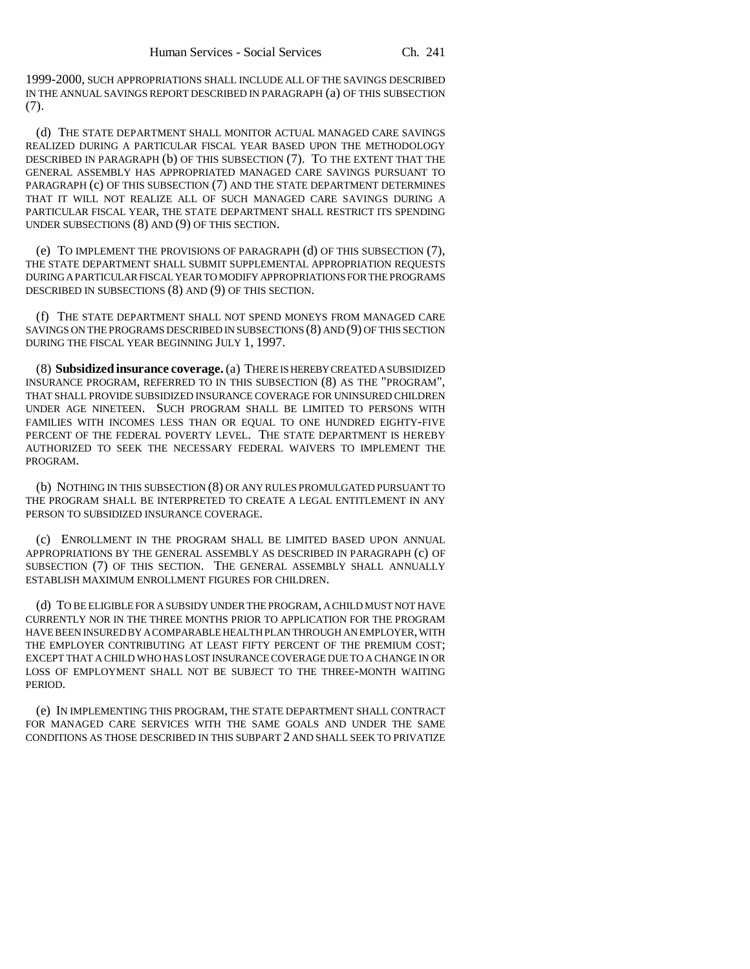1999-2000, SUCH APPROPRIATIONS SHALL INCLUDE ALL OF THE SAVINGS DESCRIBED IN THE ANNUAL SAVINGS REPORT DESCRIBED IN PARAGRAPH (a) OF THIS SUBSECTION (7).

(d) THE STATE DEPARTMENT SHALL MONITOR ACTUAL MANAGED CARE SAVINGS REALIZED DURING A PARTICULAR FISCAL YEAR BASED UPON THE METHODOLOGY DESCRIBED IN PARAGRAPH (b) OF THIS SUBSECTION (7). TO THE EXTENT THAT THE GENERAL ASSEMBLY HAS APPROPRIATED MANAGED CARE SAVINGS PURSUANT TO PARAGRAPH (c) OF THIS SUBSECTION (7) AND THE STATE DEPARTMENT DETERMINES THAT IT WILL NOT REALIZE ALL OF SUCH MANAGED CARE SAVINGS DURING A PARTICULAR FISCAL YEAR, THE STATE DEPARTMENT SHALL RESTRICT ITS SPENDING UNDER SUBSECTIONS (8) AND (9) OF THIS SECTION.

(e) TO IMPLEMENT THE PROVISIONS OF PARAGRAPH (d) OF THIS SUBSECTION (7), THE STATE DEPARTMENT SHALL SUBMIT SUPPLEMENTAL APPROPRIATION REQUESTS DURING A PARTICULAR FISCAL YEAR TO MODIFY APPROPRIATIONS FOR THE PROGRAMS DESCRIBED IN SUBSECTIONS (8) AND (9) OF THIS SECTION.

(f) THE STATE DEPARTMENT SHALL NOT SPEND MONEYS FROM MANAGED CARE SAVINGS ON THE PROGRAMS DESCRIBED IN SUBSECTIONS (8) AND (9) OF THIS SECTION DURING THE FISCAL YEAR BEGINNING JULY 1, 1997.

(8) **Subsidized insurance coverage.** (a) THERE IS HEREBY CREATED A SUBSIDIZED INSURANCE PROGRAM, REFERRED TO IN THIS SUBSECTION (8) AS THE "PROGRAM", THAT SHALL PROVIDE SUBSIDIZED INSURANCE COVERAGE FOR UNINSURED CHILDREN UNDER AGE NINETEEN. SUCH PROGRAM SHALL BE LIMITED TO PERSONS WITH FAMILIES WITH INCOMES LESS THAN OR EQUAL TO ONE HUNDRED EIGHTY-FIVE PERCENT OF THE FEDERAL POVERTY LEVEL. THE STATE DEPARTMENT IS HEREBY AUTHORIZED TO SEEK THE NECESSARY FEDERAL WAIVERS TO IMPLEMENT THE PROGRAM.

(b) NOTHING IN THIS SUBSECTION (8) OR ANY RULES PROMULGATED PURSUANT TO THE PROGRAM SHALL BE INTERPRETED TO CREATE A LEGAL ENTITLEMENT IN ANY PERSON TO SUBSIDIZED INSURANCE COVERAGE.

(c) ENROLLMENT IN THE PROGRAM SHALL BE LIMITED BASED UPON ANNUAL APPROPRIATIONS BY THE GENERAL ASSEMBLY AS DESCRIBED IN PARAGRAPH (c) OF SUBSECTION (7) OF THIS SECTION. THE GENERAL ASSEMBLY SHALL ANNUALLY ESTABLISH MAXIMUM ENROLLMENT FIGURES FOR CHILDREN.

(d) TO BE ELIGIBLE FOR A SUBSIDY UNDER THE PROGRAM, A CHILD MUST NOT HAVE CURRENTLY NOR IN THE THREE MONTHS PRIOR TO APPLICATION FOR THE PROGRAM HAVE BEEN INSURED BY A COMPARABLE HEALTH PLAN THROUGH AN EMPLOYER, WITH THE EMPLOYER CONTRIBUTING AT LEAST FIFTY PERCENT OF THE PREMIUM COST; EXCEPT THAT A CHILD WHO HAS LOST INSURANCE COVERAGE DUE TO A CHANGE IN OR LOSS OF EMPLOYMENT SHALL NOT BE SUBJECT TO THE THREE-MONTH WAITING PERIOD.

(e) IN IMPLEMENTING THIS PROGRAM, THE STATE DEPARTMENT SHALL CONTRACT FOR MANAGED CARE SERVICES WITH THE SAME GOALS AND UNDER THE SAME CONDITIONS AS THOSE DESCRIBED IN THIS SUBPART 2 AND SHALL SEEK TO PRIVATIZE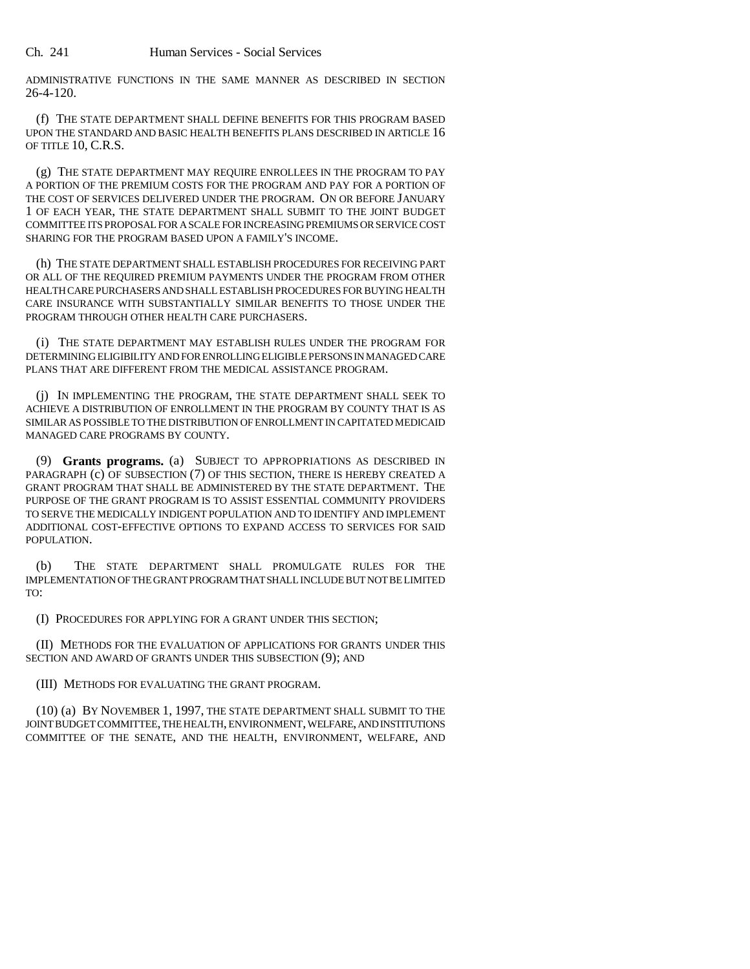ADMINISTRATIVE FUNCTIONS IN THE SAME MANNER AS DESCRIBED IN SECTION 26-4-120.

(f) THE STATE DEPARTMENT SHALL DEFINE BENEFITS FOR THIS PROGRAM BASED UPON THE STANDARD AND BASIC HEALTH BENEFITS PLANS DESCRIBED IN ARTICLE 16 OF TITLE 10, C.R.S.

(g) THE STATE DEPARTMENT MAY REQUIRE ENROLLEES IN THE PROGRAM TO PAY A PORTION OF THE PREMIUM COSTS FOR THE PROGRAM AND PAY FOR A PORTION OF THE COST OF SERVICES DELIVERED UNDER THE PROGRAM. ON OR BEFORE JANUARY 1 OF EACH YEAR, THE STATE DEPARTMENT SHALL SUBMIT TO THE JOINT BUDGET COMMITTEE ITS PROPOSAL FOR A SCALE FOR INCREASING PREMIUMS OR SERVICE COST SHARING FOR THE PROGRAM BASED UPON A FAMILY'S INCOME.

(h) THE STATE DEPARTMENT SHALL ESTABLISH PROCEDURES FOR RECEIVING PART OR ALL OF THE REQUIRED PREMIUM PAYMENTS UNDER THE PROGRAM FROM OTHER HEALTH CARE PURCHASERS AND SHALL ESTABLISH PROCEDURES FOR BUYING HEALTH CARE INSURANCE WITH SUBSTANTIALLY SIMILAR BENEFITS TO THOSE UNDER THE PROGRAM THROUGH OTHER HEALTH CARE PURCHASERS.

(i) THE STATE DEPARTMENT MAY ESTABLISH RULES UNDER THE PROGRAM FOR DETERMINING ELIGIBILITY AND FOR ENROLLING ELIGIBLE PERSONS IN MANAGED CARE PLANS THAT ARE DIFFERENT FROM THE MEDICAL ASSISTANCE PROGRAM.

(j) IN IMPLEMENTING THE PROGRAM, THE STATE DEPARTMENT SHALL SEEK TO ACHIEVE A DISTRIBUTION OF ENROLLMENT IN THE PROGRAM BY COUNTY THAT IS AS SIMILAR AS POSSIBLE TO THE DISTRIBUTION OF ENROLLMENT IN CAPITATED MEDICAID MANAGED CARE PROGRAMS BY COUNTY.

(9) **Grants programs.** (a) SUBJECT TO APPROPRIATIONS AS DESCRIBED IN PARAGRAPH (c) OF SUBSECTION (7) OF THIS SECTION, THERE IS HEREBY CREATED A GRANT PROGRAM THAT SHALL BE ADMINISTERED BY THE STATE DEPARTMENT. THE PURPOSE OF THE GRANT PROGRAM IS TO ASSIST ESSENTIAL COMMUNITY PROVIDERS TO SERVE THE MEDICALLY INDIGENT POPULATION AND TO IDENTIFY AND IMPLEMENT ADDITIONAL COST-EFFECTIVE OPTIONS TO EXPAND ACCESS TO SERVICES FOR SAID POPULATION.

(b) THE STATE DEPARTMENT SHALL PROMULGATE RULES FOR THE IMPLEMENTATION OF THE GRANT PROGRAM THAT SHALL INCLUDE BUT NOT BE LIMITED TO:

(I) PROCEDURES FOR APPLYING FOR A GRANT UNDER THIS SECTION;

(II) METHODS FOR THE EVALUATION OF APPLICATIONS FOR GRANTS UNDER THIS SECTION AND AWARD OF GRANTS UNDER THIS SUBSECTION (9); AND

(III) METHODS FOR EVALUATING THE GRANT PROGRAM.

(10) (a) BY NOVEMBER 1, 1997, THE STATE DEPARTMENT SHALL SUBMIT TO THE JOINT BUDGET COMMITTEE, THE HEALTH, ENVIRONMENT, WELFARE, AND INSTITUTIONS COMMITTEE OF THE SENATE, AND THE HEALTH, ENVIRONMENT, WELFARE, AND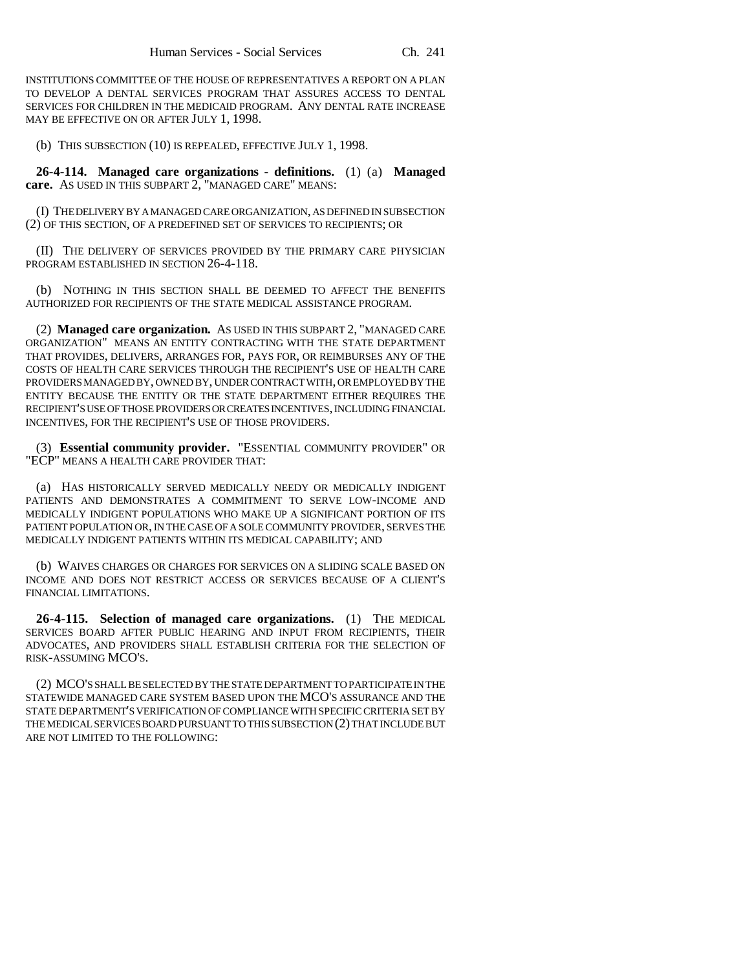INSTITUTIONS COMMITTEE OF THE HOUSE OF REPRESENTATIVES A REPORT ON A PLAN TO DEVELOP A DENTAL SERVICES PROGRAM THAT ASSURES ACCESS TO DENTAL SERVICES FOR CHILDREN IN THE MEDICAID PROGRAM. ANY DENTAL RATE INCREASE MAY BE EFFECTIVE ON OR AFTER JULY 1, 1998.

(b) THIS SUBSECTION (10) IS REPEALED, EFFECTIVE JULY 1, 1998.

**26-4-114. Managed care organizations - definitions.** (1) (a) **Managed care.** AS USED IN THIS SUBPART 2, "MANAGED CARE" MEANS:

(I) THE DELIVERY BY A MANAGED CARE ORGANIZATION, AS DEFINED IN SUBSECTION (2) OF THIS SECTION, OF A PREDEFINED SET OF SERVICES TO RECIPIENTS; OR

(II) THE DELIVERY OF SERVICES PROVIDED BY THE PRIMARY CARE PHYSICIAN PROGRAM ESTABLISHED IN SECTION 26-4-118.

(b) NOTHING IN THIS SECTION SHALL BE DEEMED TO AFFECT THE BENEFITS AUTHORIZED FOR RECIPIENTS OF THE STATE MEDICAL ASSISTANCE PROGRAM.

(2) **Managed care organization.** AS USED IN THIS SUBPART 2, "MANAGED CARE ORGANIZATION" MEANS AN ENTITY CONTRACTING WITH THE STATE DEPARTMENT THAT PROVIDES, DELIVERS, ARRANGES FOR, PAYS FOR, OR REIMBURSES ANY OF THE COSTS OF HEALTH CARE SERVICES THROUGH THE RECIPIENT'S USE OF HEALTH CARE PROVIDERS MANAGED BY, OWNED BY, UNDER CONTRACT WITH, OR EMPLOYED BY THE ENTITY BECAUSE THE ENTITY OR THE STATE DEPARTMENT EITHER REQUIRES THE RECIPIENT'S USE OF THOSE PROVIDERS OR CREATES INCENTIVES, INCLUDING FINANCIAL INCENTIVES, FOR THE RECIPIENT'S USE OF THOSE PROVIDERS.

(3) **Essential community provider.** "ESSENTIAL COMMUNITY PROVIDER" OR "ECP" MEANS A HEALTH CARE PROVIDER THAT:

(a) HAS HISTORICALLY SERVED MEDICALLY NEEDY OR MEDICALLY INDIGENT PATIENTS AND DEMONSTRATES A COMMITMENT TO SERVE LOW-INCOME AND MEDICALLY INDIGENT POPULATIONS WHO MAKE UP A SIGNIFICANT PORTION OF ITS PATIENT POPULATION OR, IN THE CASE OF A SOLE COMMUNITY PROVIDER, SERVES THE MEDICALLY INDIGENT PATIENTS WITHIN ITS MEDICAL CAPABILITY; AND

(b) WAIVES CHARGES OR CHARGES FOR SERVICES ON A SLIDING SCALE BASED ON INCOME AND DOES NOT RESTRICT ACCESS OR SERVICES BECAUSE OF A CLIENT'S FINANCIAL LIMITATIONS.

**26-4-115. Selection of managed care organizations.** (1) THE MEDICAL SERVICES BOARD AFTER PUBLIC HEARING AND INPUT FROM RECIPIENTS, THEIR ADVOCATES, AND PROVIDERS SHALL ESTABLISH CRITERIA FOR THE SELECTION OF RISK-ASSUMING MCO'S.

(2) MCO'S SHALL BE SELECTED BY THE STATE DEPARTMENT TO PARTICIPATE IN THE STATEWIDE MANAGED CARE SYSTEM BASED UPON THE MCO'S ASSURANCE AND THE STATE DEPARTMENT'S VERIFICATION OF COMPLIANCE WITH SPECIFIC CRITERIA SET BY THE MEDICAL SERVICES BOARD PURSUANT TO THIS SUBSECTION (2) THAT INCLUDE BUT ARE NOT LIMITED TO THE FOLLOWING: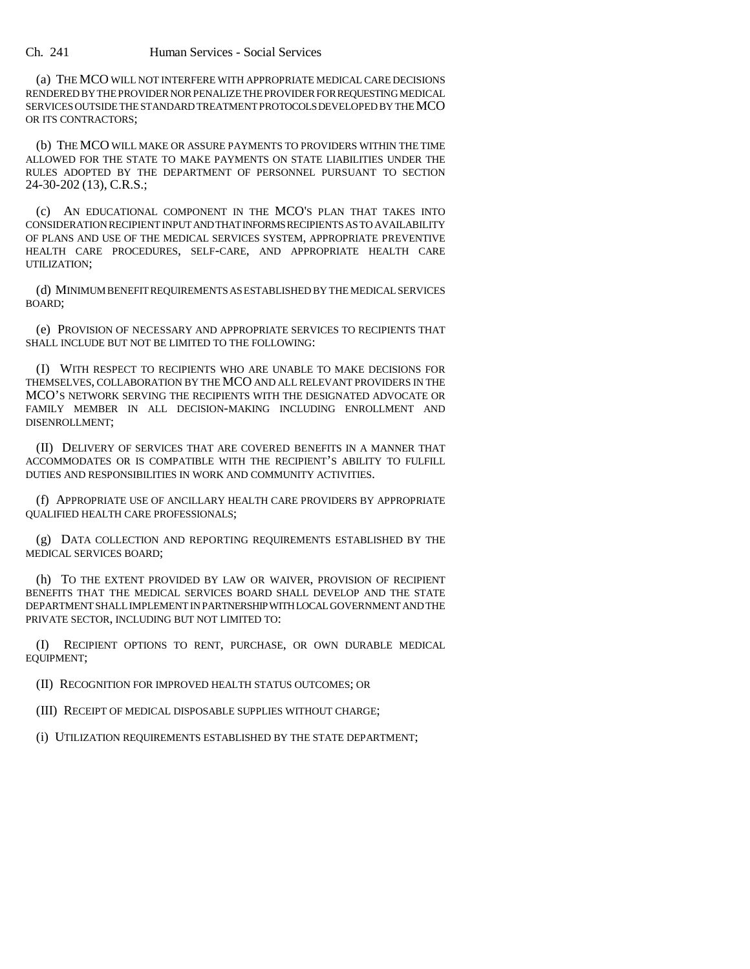(a) THE MCO WILL NOT INTERFERE WITH APPROPRIATE MEDICAL CARE DECISIONS RENDERED BY THE PROVIDER NOR PENALIZE THE PROVIDER FOR REQUESTING MEDICAL SERVICES OUTSIDE THE STANDARD TREATMENT PROTOCOLS DEVELOPED BY THE MCO OR ITS CONTRACTORS;

(b) THE MCO WILL MAKE OR ASSURE PAYMENTS TO PROVIDERS WITHIN THE TIME ALLOWED FOR THE STATE TO MAKE PAYMENTS ON STATE LIABILITIES UNDER THE RULES ADOPTED BY THE DEPARTMENT OF PERSONNEL PURSUANT TO SECTION 24-30-202 (13), C.R.S.;

(c) AN EDUCATIONAL COMPONENT IN THE MCO'S PLAN THAT TAKES INTO CONSIDERATION RECIPIENT INPUT AND THAT INFORMS RECIPIENTS AS TO AVAILABILITY OF PLANS AND USE OF THE MEDICAL SERVICES SYSTEM, APPROPRIATE PREVENTIVE HEALTH CARE PROCEDURES, SELF-CARE, AND APPROPRIATE HEALTH CARE UTILIZATION;

(d) MINIMUM BENEFIT REQUIREMENTS AS ESTABLISHED BY THE MEDICAL SERVICES BOARD;

(e) PROVISION OF NECESSARY AND APPROPRIATE SERVICES TO RECIPIENTS THAT SHALL INCLUDE BUT NOT BE LIMITED TO THE FOLLOWING:

(I) WITH RESPECT TO RECIPIENTS WHO ARE UNABLE TO MAKE DECISIONS FOR THEMSELVES, COLLABORATION BY THE MCO AND ALL RELEVANT PROVIDERS IN THE MCO'S NETWORK SERVING THE RECIPIENTS WITH THE DESIGNATED ADVOCATE OR FAMILY MEMBER IN ALL DECISION-MAKING INCLUDING ENROLLMENT AND DISENROLLMENT;

(II) DELIVERY OF SERVICES THAT ARE COVERED BENEFITS IN A MANNER THAT ACCOMMODATES OR IS COMPATIBLE WITH THE RECIPIENT'S ABILITY TO FULFILL DUTIES AND RESPONSIBILITIES IN WORK AND COMMUNITY ACTIVITIES.

(f) APPROPRIATE USE OF ANCILLARY HEALTH CARE PROVIDERS BY APPROPRIATE QUALIFIED HEALTH CARE PROFESSIONALS;

(g) DATA COLLECTION AND REPORTING REQUIREMENTS ESTABLISHED BY THE MEDICAL SERVICES BOARD;

(h) TO THE EXTENT PROVIDED BY LAW OR WAIVER, PROVISION OF RECIPIENT BENEFITS THAT THE MEDICAL SERVICES BOARD SHALL DEVELOP AND THE STATE DEPARTMENT SHALL IMPLEMENT IN PARTNERSHIP WITH LOCAL GOVERNMENT AND THE PRIVATE SECTOR, INCLUDING BUT NOT LIMITED TO:

(I) RECIPIENT OPTIONS TO RENT, PURCHASE, OR OWN DURABLE MEDICAL EQUIPMENT;

(II) RECOGNITION FOR IMPROVED HEALTH STATUS OUTCOMES; OR

(III) RECEIPT OF MEDICAL DISPOSABLE SUPPLIES WITHOUT CHARGE;

(i) UTILIZATION REQUIREMENTS ESTABLISHED BY THE STATE DEPARTMENT;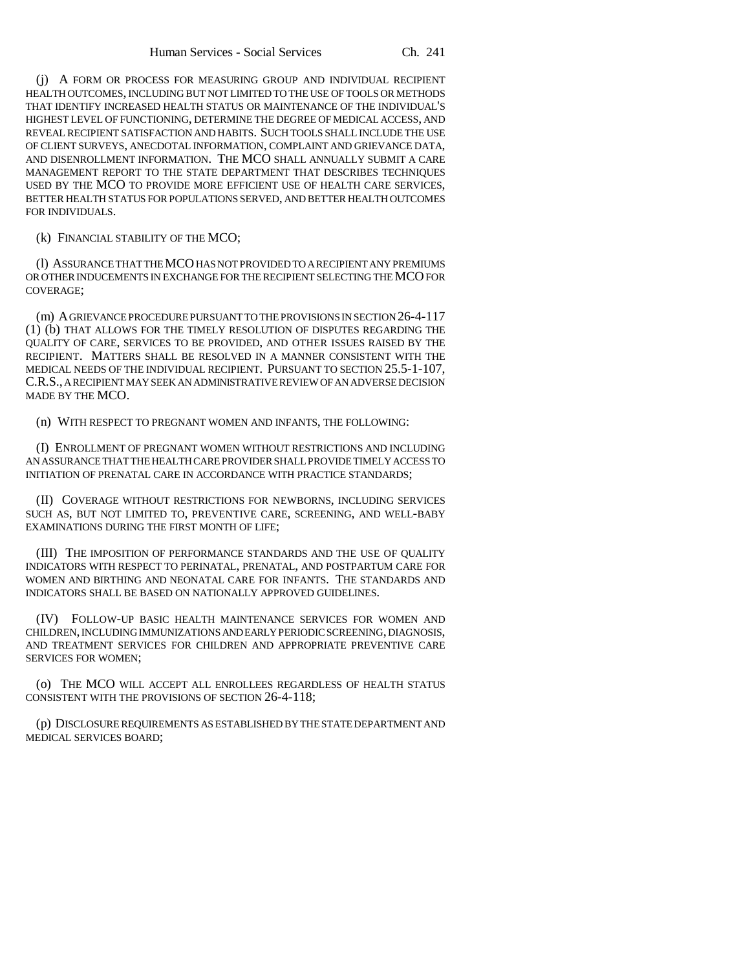(j) A FORM OR PROCESS FOR MEASURING GROUP AND INDIVIDUAL RECIPIENT HEALTH OUTCOMES, INCLUDING BUT NOT LIMITED TO THE USE OF TOOLS OR METHODS THAT IDENTIFY INCREASED HEALTH STATUS OR MAINTENANCE OF THE INDIVIDUAL'S HIGHEST LEVEL OF FUNCTIONING, DETERMINE THE DEGREE OF MEDICAL ACCESS, AND REVEAL RECIPIENT SATISFACTION AND HABITS. SUCH TOOLS SHALL INCLUDE THE USE OF CLIENT SURVEYS, ANECDOTAL INFORMATION, COMPLAINT AND GRIEVANCE DATA, AND DISENROLLMENT INFORMATION. THE MCO SHALL ANNUALLY SUBMIT A CARE MANAGEMENT REPORT TO THE STATE DEPARTMENT THAT DESCRIBES TECHNIQUES USED BY THE MCO TO PROVIDE MORE EFFICIENT USE OF HEALTH CARE SERVICES, BETTER HEALTH STATUS FOR POPULATIONS SERVED, AND BETTER HEALTH OUTCOMES FOR INDIVIDUALS.

(k) FINANCIAL STABILITY OF THE MCO;

(l) ASSURANCE THAT THE MCO HAS NOT PROVIDED TO A RECIPIENT ANY PREMIUMS OR OTHER INDUCEMENTS IN EXCHANGE FOR THE RECIPIENT SELECTING THE MCO FOR COVERAGE;

(m) A GRIEVANCE PROCEDURE PURSUANT TO THE PROVISIONS IN SECTION 26-4-117 (1) (b) THAT ALLOWS FOR THE TIMELY RESOLUTION OF DISPUTES REGARDING THE QUALITY OF CARE, SERVICES TO BE PROVIDED, AND OTHER ISSUES RAISED BY THE RECIPIENT. MATTERS SHALL BE RESOLVED IN A MANNER CONSISTENT WITH THE MEDICAL NEEDS OF THE INDIVIDUAL RECIPIENT. PURSUANT TO SECTION 25.5-1-107, C.R.S., A RECIPIENT MAY SEEK AN ADMINISTRATIVE REVIEW OF AN ADVERSE DECISION MADE BY THE MCO.

(n) WITH RESPECT TO PREGNANT WOMEN AND INFANTS, THE FOLLOWING:

(I) ENROLLMENT OF PREGNANT WOMEN WITHOUT RESTRICTIONS AND INCLUDING AN ASSURANCE THAT THE HEALTH CARE PROVIDER SHALL PROVIDE TIMELY ACCESS TO INITIATION OF PRENATAL CARE IN ACCORDANCE WITH PRACTICE STANDARDS;

(II) COVERAGE WITHOUT RESTRICTIONS FOR NEWBORNS, INCLUDING SERVICES SUCH AS, BUT NOT LIMITED TO, PREVENTIVE CARE, SCREENING, AND WELL-BABY EXAMINATIONS DURING THE FIRST MONTH OF LIFE;

(III) THE IMPOSITION OF PERFORMANCE STANDARDS AND THE USE OF QUALITY INDICATORS WITH RESPECT TO PERINATAL, PRENATAL, AND POSTPARTUM CARE FOR WOMEN AND BIRTHING AND NEONATAL CARE FOR INFANTS. THE STANDARDS AND INDICATORS SHALL BE BASED ON NATIONALLY APPROVED GUIDELINES.

(IV) FOLLOW-UP BASIC HEALTH MAINTENANCE SERVICES FOR WOMEN AND CHILDREN, INCLUDING IMMUNIZATIONS AND EARLY PERIODIC SCREENING, DIAGNOSIS, AND TREATMENT SERVICES FOR CHILDREN AND APPROPRIATE PREVENTIVE CARE SERVICES FOR WOMEN;

(o) THE MCO WILL ACCEPT ALL ENROLLEES REGARDLESS OF HEALTH STATUS CONSISTENT WITH THE PROVISIONS OF SECTION 26-4-118;

(p) DISCLOSURE REQUIREMENTS AS ESTABLISHED BY THE STATE DEPARTMENT AND MEDICAL SERVICES BOARD;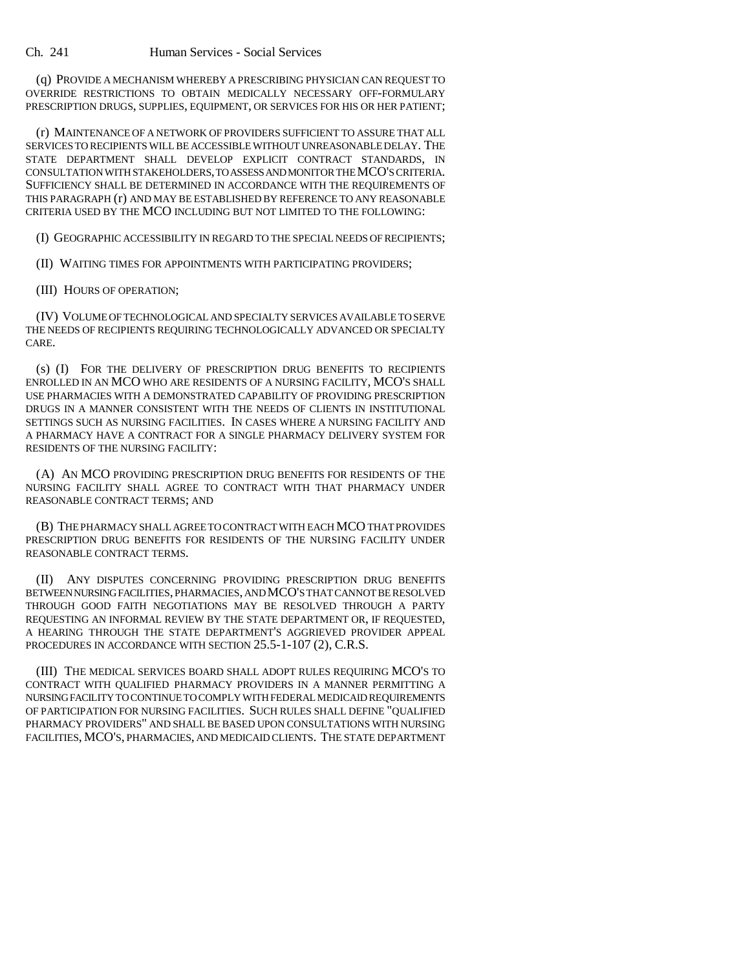(q) PROVIDE A MECHANISM WHEREBY A PRESCRIBING PHYSICIAN CAN REQUEST TO OVERRIDE RESTRICTIONS TO OBTAIN MEDICALLY NECESSARY OFF-FORMULARY PRESCRIPTION DRUGS, SUPPLIES, EQUIPMENT, OR SERVICES FOR HIS OR HER PATIENT;

(r) MAINTENANCE OF A NETWORK OF PROVIDERS SUFFICIENT TO ASSURE THAT ALL SERVICES TO RECIPIENTS WILL BE ACCESSIBLE WITHOUT UNREASONABLE DELAY. THE STATE DEPARTMENT SHALL DEVELOP EXPLICIT CONTRACT STANDARDS, IN CONSULTATION WITH STAKEHOLDERS, TO ASSESS AND MONITOR THE MCO'S CRITERIA. SUFFICIENCY SHALL BE DETERMINED IN ACCORDANCE WITH THE REQUIREMENTS OF THIS PARAGRAPH (r) AND MAY BE ESTABLISHED BY REFERENCE TO ANY REASONABLE CRITERIA USED BY THE MCO INCLUDING BUT NOT LIMITED TO THE FOLLOWING:

(I) GEOGRAPHIC ACCESSIBILITY IN REGARD TO THE SPECIAL NEEDS OF RECIPIENTS;

(II) WAITING TIMES FOR APPOINTMENTS WITH PARTICIPATING PROVIDERS;

(III) HOURS OF OPERATION;

(IV) VOLUME OF TECHNOLOGICAL AND SPECIALTY SERVICES AVAILABLE TO SERVE THE NEEDS OF RECIPIENTS REQUIRING TECHNOLOGICALLY ADVANCED OR SPECIALTY CARE.

(s) (I) FOR THE DELIVERY OF PRESCRIPTION DRUG BENEFITS TO RECIPIENTS ENROLLED IN AN MCO WHO ARE RESIDENTS OF A NURSING FACILITY, MCO'S SHALL USE PHARMACIES WITH A DEMONSTRATED CAPABILITY OF PROVIDING PRESCRIPTION DRUGS IN A MANNER CONSISTENT WITH THE NEEDS OF CLIENTS IN INSTITUTIONAL SETTINGS SUCH AS NURSING FACILITIES. IN CASES WHERE A NURSING FACILITY AND A PHARMACY HAVE A CONTRACT FOR A SINGLE PHARMACY DELIVERY SYSTEM FOR RESIDENTS OF THE NURSING FACILITY:

(A) AN MCO PROVIDING PRESCRIPTION DRUG BENEFITS FOR RESIDENTS OF THE NURSING FACILITY SHALL AGREE TO CONTRACT WITH THAT PHARMACY UNDER REASONABLE CONTRACT TERMS; AND

(B) THE PHARMACY SHALL AGREE TO CONTRACT WITH EACH MCO THAT PROVIDES PRESCRIPTION DRUG BENEFITS FOR RESIDENTS OF THE NURSING FACILITY UNDER REASONABLE CONTRACT TERMS.

(II) ANY DISPUTES CONCERNING PROVIDING PRESCRIPTION DRUG BENEFITS BETWEEN NURSING FACILITIES, PHARMACIES, AND MCO'S THAT CANNOT BE RESOLVED THROUGH GOOD FAITH NEGOTIATIONS MAY BE RESOLVED THROUGH A PARTY REQUESTING AN INFORMAL REVIEW BY THE STATE DEPARTMENT OR, IF REQUESTED, A HEARING THROUGH THE STATE DEPARTMENT'S AGGRIEVED PROVIDER APPEAL PROCEDURES IN ACCORDANCE WITH SECTION 25.5-1-107 (2), C.R.S.

(III) THE MEDICAL SERVICES BOARD SHALL ADOPT RULES REQUIRING MCO'S TO CONTRACT WITH QUALIFIED PHARMACY PROVIDERS IN A MANNER PERMITTING A NURSING FACILITY TO CONTINUE TO COMPLY WITH FEDERAL MEDICAID REQUIREMENTS OF PARTICIPATION FOR NURSING FACILITIES. SUCH RULES SHALL DEFINE "QUALIFIED PHARMACY PROVIDERS" AND SHALL BE BASED UPON CONSULTATIONS WITH NURSING FACILITIES, MCO'S, PHARMACIES, AND MEDICAID CLIENTS. THE STATE DEPARTMENT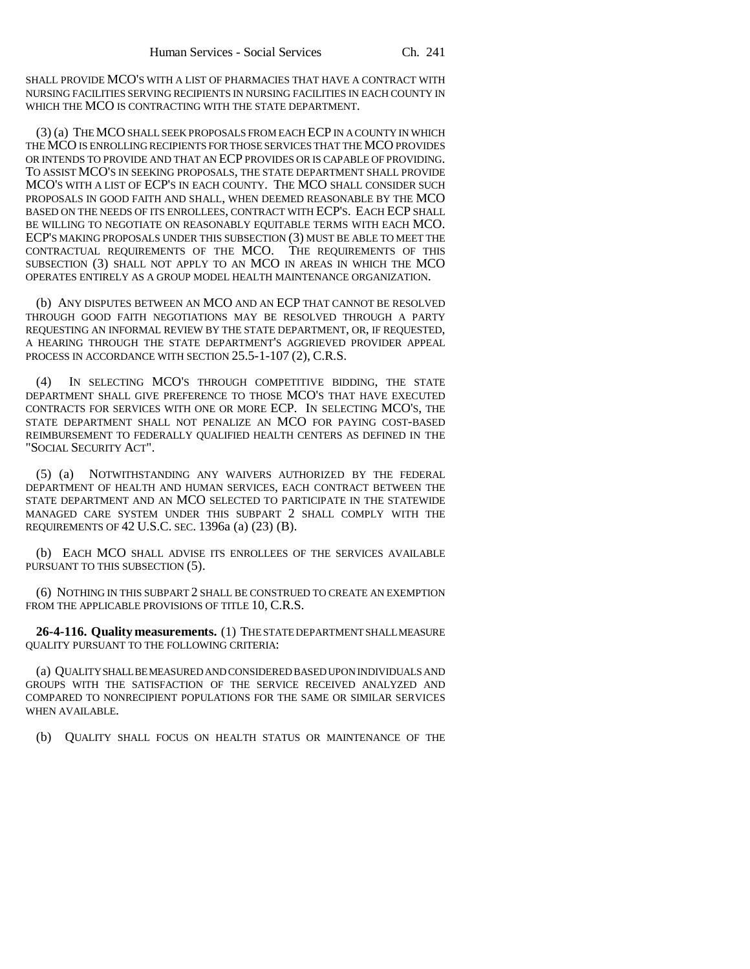SHALL PROVIDE MCO'S WITH A LIST OF PHARMACIES THAT HAVE A CONTRACT WITH NURSING FACILITIES SERVING RECIPIENTS IN NURSING FACILITIES IN EACH COUNTY IN WHICH THE MCO IS CONTRACTING WITH THE STATE DEPARTMENT.

(3) (a) THE MCO SHALL SEEK PROPOSALS FROM EACH ECP IN A COUNTY IN WHICH THE MCO IS ENROLLING RECIPIENTS FOR THOSE SERVICES THAT THE MCO PROVIDES OR INTENDS TO PROVIDE AND THAT AN ECP PROVIDES OR IS CAPABLE OF PROVIDING. TO ASSIST MCO'S IN SEEKING PROPOSALS, THE STATE DEPARTMENT SHALL PROVIDE MCO'S WITH A LIST OF ECP'S IN EACH COUNTY. THE MCO SHALL CONSIDER SUCH PROPOSALS IN GOOD FAITH AND SHALL, WHEN DEEMED REASONABLE BY THE MCO BASED ON THE NEEDS OF ITS ENROLLEES, CONTRACT WITH ECP'S. EACH ECP SHALL BE WILLING TO NEGOTIATE ON REASONABLY EQUITABLE TERMS WITH EACH MCO. ECP'S MAKING PROPOSALS UNDER THIS SUBSECTION (3) MUST BE ABLE TO MEET THE CONTRACTUAL REQUIREMENTS OF THE MCO. THE REQUIREMENTS OF THIS SUBSECTION (3) SHALL NOT APPLY TO AN MCO IN AREAS IN WHICH THE MCO OPERATES ENTIRELY AS A GROUP MODEL HEALTH MAINTENANCE ORGANIZATION.

(b) ANY DISPUTES BETWEEN AN MCO AND AN ECP THAT CANNOT BE RESOLVED THROUGH GOOD FAITH NEGOTIATIONS MAY BE RESOLVED THROUGH A PARTY REQUESTING AN INFORMAL REVIEW BY THE STATE DEPARTMENT, OR, IF REQUESTED, A HEARING THROUGH THE STATE DEPARTMENT'S AGGRIEVED PROVIDER APPEAL PROCESS IN ACCORDANCE WITH SECTION 25.5-1-107 (2), C.R.S.

(4) IN SELECTING MCO'S THROUGH COMPETITIVE BIDDING, THE STATE DEPARTMENT SHALL GIVE PREFERENCE TO THOSE MCO'S THAT HAVE EXECUTED CONTRACTS FOR SERVICES WITH ONE OR MORE ECP. IN SELECTING MCO'S, THE STATE DEPARTMENT SHALL NOT PENALIZE AN MCO FOR PAYING COST-BASED REIMBURSEMENT TO FEDERALLY QUALIFIED HEALTH CENTERS AS DEFINED IN THE "SOCIAL SECURITY ACT".

(5) (a) NOTWITHSTANDING ANY WAIVERS AUTHORIZED BY THE FEDERAL DEPARTMENT OF HEALTH AND HUMAN SERVICES, EACH CONTRACT BETWEEN THE STATE DEPARTMENT AND AN MCO SELECTED TO PARTICIPATE IN THE STATEWIDE MANAGED CARE SYSTEM UNDER THIS SUBPART 2 SHALL COMPLY WITH THE REQUIREMENTS OF 42 U.S.C. SEC. 1396a (a) (23) (B).

(b) EACH MCO SHALL ADVISE ITS ENROLLEES OF THE SERVICES AVAILABLE PURSUANT TO THIS SUBSECTION (5).

(6) NOTHING IN THIS SUBPART 2 SHALL BE CONSTRUED TO CREATE AN EXEMPTION FROM THE APPLICABLE PROVISIONS OF TITLE 10, C.R.S.

**26-4-116. Quality measurements.** (1) THE STATE DEPARTMENT SHALL MEASURE QUALITY PURSUANT TO THE FOLLOWING CRITERIA:

(a) QUALITY SHALL BE MEASURED AND CONSIDERED BASED UPON INDIVIDUALS AND GROUPS WITH THE SATISFACTION OF THE SERVICE RECEIVED ANALYZED AND COMPARED TO NONRECIPIENT POPULATIONS FOR THE SAME OR SIMILAR SERVICES WHEN AVAILABLE.

(b) QUALITY SHALL FOCUS ON HEALTH STATUS OR MAINTENANCE OF THE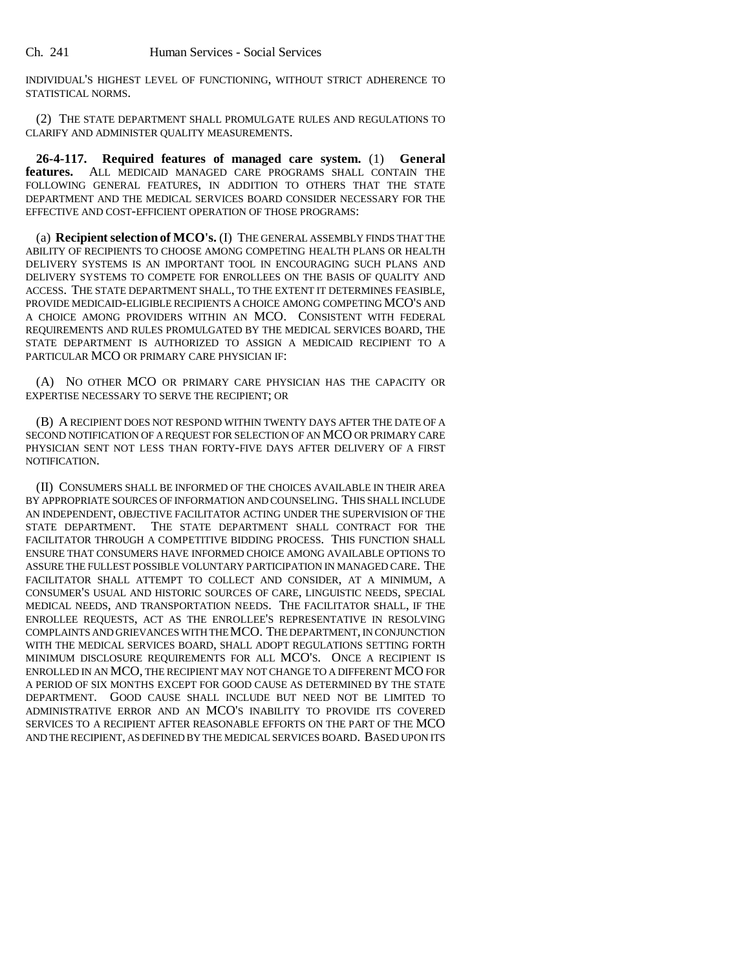Ch. 241 Human Services - Social Services

INDIVIDUAL'S HIGHEST LEVEL OF FUNCTIONING, WITHOUT STRICT ADHERENCE TO STATISTICAL NORMS.

(2) THE STATE DEPARTMENT SHALL PROMULGATE RULES AND REGULATIONS TO CLARIFY AND ADMINISTER QUALITY MEASUREMENTS.

**26-4-117. Required features of managed care system.** (1) **General features.** ALL MEDICAID MANAGED CARE PROGRAMS SHALL CONTAIN THE FOLLOWING GENERAL FEATURES, IN ADDITION TO OTHERS THAT THE STATE DEPARTMENT AND THE MEDICAL SERVICES BOARD CONSIDER NECESSARY FOR THE EFFECTIVE AND COST-EFFICIENT OPERATION OF THOSE PROGRAMS:

(a) **Recipient selection of MCO's.** (I) THE GENERAL ASSEMBLY FINDS THAT THE ABILITY OF RECIPIENTS TO CHOOSE AMONG COMPETING HEALTH PLANS OR HEALTH DELIVERY SYSTEMS IS AN IMPORTANT TOOL IN ENCOURAGING SUCH PLANS AND DELIVERY SYSTEMS TO COMPETE FOR ENROLLEES ON THE BASIS OF QUALITY AND ACCESS. THE STATE DEPARTMENT SHALL, TO THE EXTENT IT DETERMINES FEASIBLE, PROVIDE MEDICAID-ELIGIBLE RECIPIENTS A CHOICE AMONG COMPETING MCO'S AND A CHOICE AMONG PROVIDERS WITHIN AN MCO. CONSISTENT WITH FEDERAL REQUIREMENTS AND RULES PROMULGATED BY THE MEDICAL SERVICES BOARD, THE STATE DEPARTMENT IS AUTHORIZED TO ASSIGN A MEDICAID RECIPIENT TO A PARTICULAR MCO OR PRIMARY CARE PHYSICIAN IF:

(A) NO OTHER MCO OR PRIMARY CARE PHYSICIAN HAS THE CAPACITY OR EXPERTISE NECESSARY TO SERVE THE RECIPIENT; OR

(B) A RECIPIENT DOES NOT RESPOND WITHIN TWENTY DAYS AFTER THE DATE OF A SECOND NOTIFICATION OF A REQUEST FOR SELECTION OF AN MCO OR PRIMARY CARE PHYSICIAN SENT NOT LESS THAN FORTY-FIVE DAYS AFTER DELIVERY OF A FIRST NOTIFICATION.

(II) CONSUMERS SHALL BE INFORMED OF THE CHOICES AVAILABLE IN THEIR AREA BY APPROPRIATE SOURCES OF INFORMATION AND COUNSELING. THIS SHALL INCLUDE AN INDEPENDENT, OBJECTIVE FACILITATOR ACTING UNDER THE SUPERVISION OF THE STATE DEPARTMENT. THE STATE DEPARTMENT SHALL CONTRACT FOR THE FACILITATOR THROUGH A COMPETITIVE BIDDING PROCESS. THIS FUNCTION SHALL ENSURE THAT CONSUMERS HAVE INFORMED CHOICE AMONG AVAILABLE OPTIONS TO ASSURE THE FULLEST POSSIBLE VOLUNTARY PARTICIPATION IN MANAGED CARE. THE FACILITATOR SHALL ATTEMPT TO COLLECT AND CONSIDER, AT A MINIMUM, A CONSUMER'S USUAL AND HISTORIC SOURCES OF CARE, LINGUISTIC NEEDS, SPECIAL MEDICAL NEEDS, AND TRANSPORTATION NEEDS. THE FACILITATOR SHALL, IF THE ENROLLEE REQUESTS, ACT AS THE ENROLLEE'S REPRESENTATIVE IN RESOLVING COMPLAINTS AND GRIEVANCES WITH THE MCO. THE DEPARTMENT, IN CONJUNCTION WITH THE MEDICAL SERVICES BOARD, SHALL ADOPT REGULATIONS SETTING FORTH MINIMUM DISCLOSURE REQUIREMENTS FOR ALL MCO'S. ONCE A RECIPIENT IS ENROLLED IN AN MCO, THE RECIPIENT MAY NOT CHANGE TO A DIFFERENT MCO FOR A PERIOD OF SIX MONTHS EXCEPT FOR GOOD CAUSE AS DETERMINED BY THE STATE DEPARTMENT. GOOD CAUSE SHALL INCLUDE BUT NEED NOT BE LIMITED TO ADMINISTRATIVE ERROR AND AN MCO'S INABILITY TO PROVIDE ITS COVERED SERVICES TO A RECIPIENT AFTER REASONABLE EFFORTS ON THE PART OF THE MCO AND THE RECIPIENT, AS DEFINED BY THE MEDICAL SERVICES BOARD. BASED UPON ITS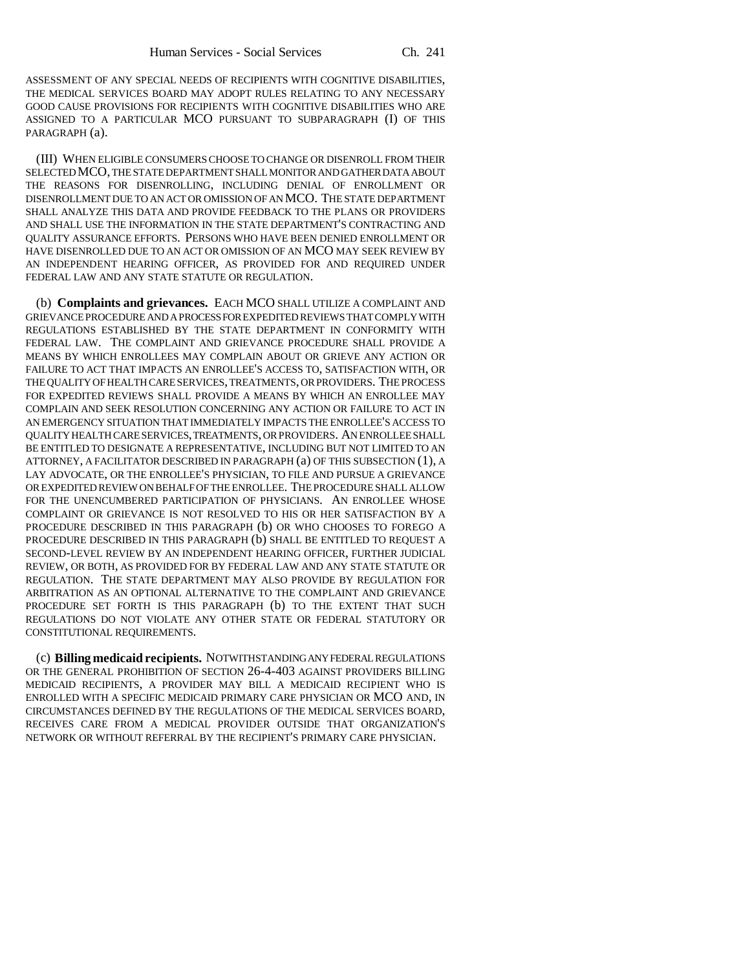ASSESSMENT OF ANY SPECIAL NEEDS OF RECIPIENTS WITH COGNITIVE DISABILITIES, THE MEDICAL SERVICES BOARD MAY ADOPT RULES RELATING TO ANY NECESSARY GOOD CAUSE PROVISIONS FOR RECIPIENTS WITH COGNITIVE DISABILITIES WHO ARE ASSIGNED TO A PARTICULAR MCO PURSUANT TO SUBPARAGRAPH (I) OF THIS PARAGRAPH (a).

(III) WHEN ELIGIBLE CONSUMERS CHOOSE TO CHANGE OR DISENROLL FROM THEIR SELECTED MCO, THE STATE DEPARTMENT SHALL MONITOR AND GATHER DATA ABOUT THE REASONS FOR DISENROLLING, INCLUDING DENIAL OF ENROLLMENT OR DISENROLLMENT DUE TO AN ACT OR OMISSION OF AN MCO. THE STATE DEPARTMENT SHALL ANALYZE THIS DATA AND PROVIDE FEEDBACK TO THE PLANS OR PROVIDERS AND SHALL USE THE INFORMATION IN THE STATE DEPARTMENT'S CONTRACTING AND QUALITY ASSURANCE EFFORTS. PERSONS WHO HAVE BEEN DENIED ENROLLMENT OR HAVE DISENROLLED DUE TO AN ACT OR OMISSION OF AN MCO MAY SEEK REVIEW BY AN INDEPENDENT HEARING OFFICER, AS PROVIDED FOR AND REQUIRED UNDER FEDERAL LAW AND ANY STATE STATUTE OR REGULATION.

(b) **Complaints and grievances.** EACH MCO SHALL UTILIZE A COMPLAINT AND GRIEVANCE PROCEDURE AND A PROCESS FOR EXPEDITED REVIEWS THAT COMPLY WITH REGULATIONS ESTABLISHED BY THE STATE DEPARTMENT IN CONFORMITY WITH FEDERAL LAW. THE COMPLAINT AND GRIEVANCE PROCEDURE SHALL PROVIDE A MEANS BY WHICH ENROLLEES MAY COMPLAIN ABOUT OR GRIEVE ANY ACTION OR FAILURE TO ACT THAT IMPACTS AN ENROLLEE'S ACCESS TO, SATISFACTION WITH, OR THE QUALITY OF HEALTH CARE SERVICES, TREATMENTS, OR PROVIDERS. THE PROCESS FOR EXPEDITED REVIEWS SHALL PROVIDE A MEANS BY WHICH AN ENROLLEE MAY COMPLAIN AND SEEK RESOLUTION CONCERNING ANY ACTION OR FAILURE TO ACT IN AN EMERGENCY SITUATION THAT IMMEDIATELY IMPACTS THE ENROLLEE'S ACCESS TO QUALITY HEALTH CARE SERVICES, TREATMENTS, OR PROVIDERS. AN ENROLLEE SHALL BE ENTITLED TO DESIGNATE A REPRESENTATIVE, INCLUDING BUT NOT LIMITED TO AN ATTORNEY, A FACILITATOR DESCRIBED IN PARAGRAPH (a) OF THIS SUBSECTION (1), A LAY ADVOCATE, OR THE ENROLLEE'S PHYSICIAN, TO FILE AND PURSUE A GRIEVANCE OR EXPEDITED REVIEW ON BEHALF OF THE ENROLLEE. THE PROCEDURE SHALL ALLOW FOR THE UNENCUMBERED PARTICIPATION OF PHYSICIANS. AN ENROLLEE WHOSE COMPLAINT OR GRIEVANCE IS NOT RESOLVED TO HIS OR HER SATISFACTION BY A PROCEDURE DESCRIBED IN THIS PARAGRAPH (b) OR WHO CHOOSES TO FOREGO A PROCEDURE DESCRIBED IN THIS PARAGRAPH (b) SHALL BE ENTITLED TO REQUEST A SECOND-LEVEL REVIEW BY AN INDEPENDENT HEARING OFFICER, FURTHER JUDICIAL REVIEW, OR BOTH, AS PROVIDED FOR BY FEDERAL LAW AND ANY STATE STATUTE OR REGULATION. THE STATE DEPARTMENT MAY ALSO PROVIDE BY REGULATION FOR ARBITRATION AS AN OPTIONAL ALTERNATIVE TO THE COMPLAINT AND GRIEVANCE PROCEDURE SET FORTH IS THIS PARAGRAPH (b) TO THE EXTENT THAT SUCH REGULATIONS DO NOT VIOLATE ANY OTHER STATE OR FEDERAL STATUTORY OR CONSTITUTIONAL REQUIREMENTS.

(c) **Billing medicaid recipients.** NOTWITHSTANDING ANY FEDERAL REGULATIONS OR THE GENERAL PROHIBITION OF SECTION 26-4-403 AGAINST PROVIDERS BILLING MEDICAID RECIPIENTS, A PROVIDER MAY BILL A MEDICAID RECIPIENT WHO IS ENROLLED WITH A SPECIFIC MEDICAID PRIMARY CARE PHYSICIAN OR MCO AND, IN CIRCUMSTANCES DEFINED BY THE REGULATIONS OF THE MEDICAL SERVICES BOARD, RECEIVES CARE FROM A MEDICAL PROVIDER OUTSIDE THAT ORGANIZATION'S NETWORK OR WITHOUT REFERRAL BY THE RECIPIENT'S PRIMARY CARE PHYSICIAN.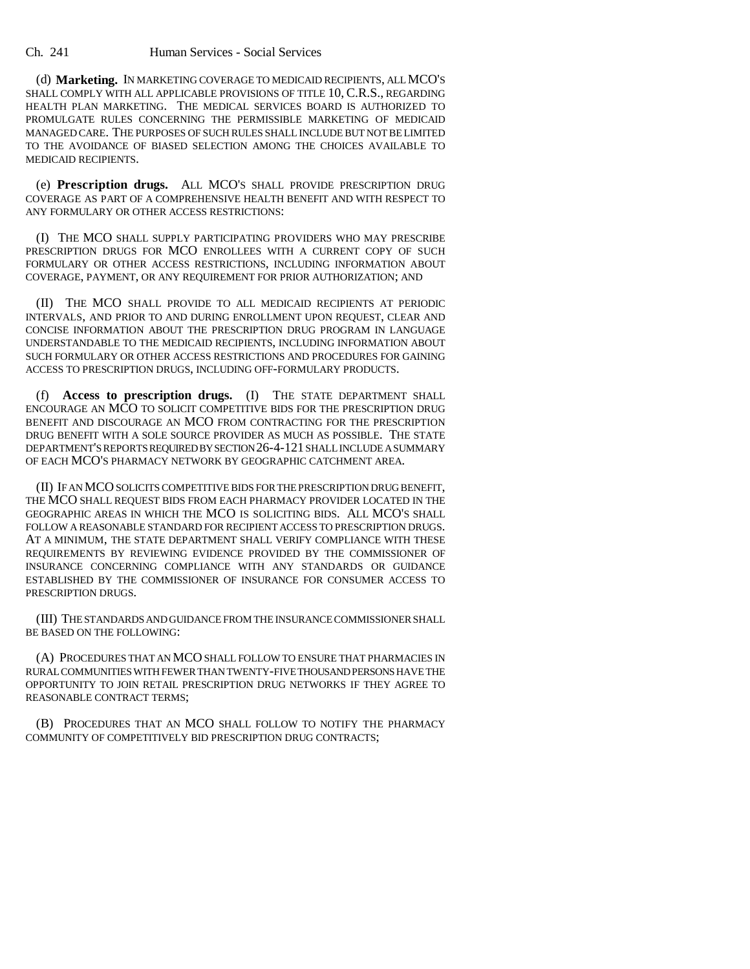Ch. 241 Human Services - Social Services

(d) **Marketing.** IN MARKETING COVERAGE TO MEDICAID RECIPIENTS, ALL MCO'S SHALL COMPLY WITH ALL APPLICABLE PROVISIONS OF TITLE 10, C.R.S., REGARDING HEALTH PLAN MARKETING. THE MEDICAL SERVICES BOARD IS AUTHORIZED TO PROMULGATE RULES CONCERNING THE PERMISSIBLE MARKETING OF MEDICAID MANAGED CARE. THE PURPOSES OF SUCH RULES SHALL INCLUDE BUT NOT BE LIMITED TO THE AVOIDANCE OF BIASED SELECTION AMONG THE CHOICES AVAILABLE TO MEDICAID RECIPIENTS.

(e) **Prescription drugs.** ALL MCO'S SHALL PROVIDE PRESCRIPTION DRUG COVERAGE AS PART OF A COMPREHENSIVE HEALTH BENEFIT AND WITH RESPECT TO ANY FORMULARY OR OTHER ACCESS RESTRICTIONS:

(I) THE MCO SHALL SUPPLY PARTICIPATING PROVIDERS WHO MAY PRESCRIBE PRESCRIPTION DRUGS FOR MCO ENROLLEES WITH A CURRENT COPY OF SUCH FORMULARY OR OTHER ACCESS RESTRICTIONS, INCLUDING INFORMATION ABOUT COVERAGE, PAYMENT, OR ANY REQUIREMENT FOR PRIOR AUTHORIZATION; AND

(II) THE MCO SHALL PROVIDE TO ALL MEDICAID RECIPIENTS AT PERIODIC INTERVALS, AND PRIOR TO AND DURING ENROLLMENT UPON REQUEST, CLEAR AND CONCISE INFORMATION ABOUT THE PRESCRIPTION DRUG PROGRAM IN LANGUAGE UNDERSTANDABLE TO THE MEDICAID RECIPIENTS, INCLUDING INFORMATION ABOUT SUCH FORMULARY OR OTHER ACCESS RESTRICTIONS AND PROCEDURES FOR GAINING ACCESS TO PRESCRIPTION DRUGS, INCLUDING OFF-FORMULARY PRODUCTS.

(f) **Access to prescription drugs.** (I) THE STATE DEPARTMENT SHALL ENCOURAGE AN MCO TO SOLICIT COMPETITIVE BIDS FOR THE PRESCRIPTION DRUG BENEFIT AND DISCOURAGE AN MCO FROM CONTRACTING FOR THE PRESCRIPTION DRUG BENEFIT WITH A SOLE SOURCE PROVIDER AS MUCH AS POSSIBLE. THE STATE DEPARTMENT'S REPORTS REQUIRED BY SECTION 26-4-121 SHALL INCLUDE A SUMMARY OF EACH MCO'S PHARMACY NETWORK BY GEOGRAPHIC CATCHMENT AREA.

(II) IF AN MCO SOLICITS COMPETITIVE BIDS FOR THE PRESCRIPTION DRUG BENEFIT, THE MCO SHALL REQUEST BIDS FROM EACH PHARMACY PROVIDER LOCATED IN THE GEOGRAPHIC AREAS IN WHICH THE MCO IS SOLICITING BIDS. ALL MCO'S SHALL FOLLOW A REASONABLE STANDARD FOR RECIPIENT ACCESS TO PRESCRIPTION DRUGS. AT A MINIMUM, THE STATE DEPARTMENT SHALL VERIFY COMPLIANCE WITH THESE REQUIREMENTS BY REVIEWING EVIDENCE PROVIDED BY THE COMMISSIONER OF INSURANCE CONCERNING COMPLIANCE WITH ANY STANDARDS OR GUIDANCE ESTABLISHED BY THE COMMISSIONER OF INSURANCE FOR CONSUMER ACCESS TO PRESCRIPTION DRUGS.

(III) THE STANDARDS AND GUIDANCE FROM THE INSURANCE COMMISSIONER SHALL BE BASED ON THE FOLLOWING:

(A) PROCEDURES THAT AN MCO SHALL FOLLOW TO ENSURE THAT PHARMACIES IN RURAL COMMUNITIES WITH FEWER THAN TWENTY-FIVE THOUSAND PERSONS HAVE THE OPPORTUNITY TO JOIN RETAIL PRESCRIPTION DRUG NETWORKS IF THEY AGREE TO REASONABLE CONTRACT TERMS;

(B) PROCEDURES THAT AN MCO SHALL FOLLOW TO NOTIFY THE PHARMACY COMMUNITY OF COMPETITIVELY BID PRESCRIPTION DRUG CONTRACTS;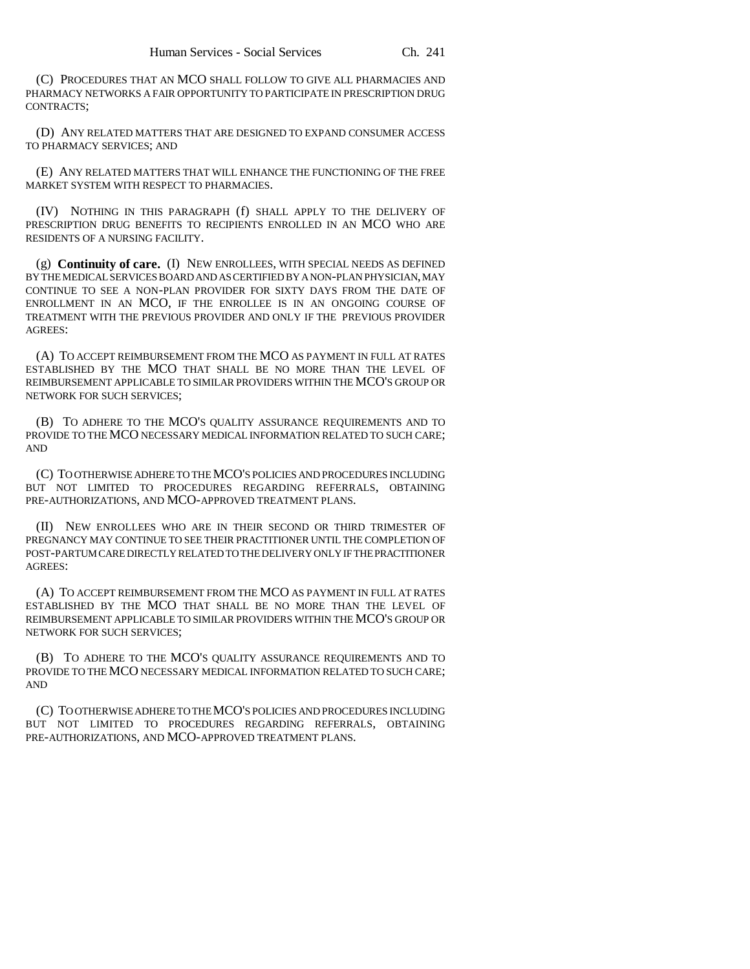(C) PROCEDURES THAT AN MCO SHALL FOLLOW TO GIVE ALL PHARMACIES AND PHARMACY NETWORKS A FAIR OPPORTUNITY TO PARTICIPATE IN PRESCRIPTION DRUG CONTRACTS;

(D) ANY RELATED MATTERS THAT ARE DESIGNED TO EXPAND CONSUMER ACCESS TO PHARMACY SERVICES; AND

(E) ANY RELATED MATTERS THAT WILL ENHANCE THE FUNCTIONING OF THE FREE MARKET SYSTEM WITH RESPECT TO PHARMACIES.

(IV) NOTHING IN THIS PARAGRAPH (f) SHALL APPLY TO THE DELIVERY OF PRESCRIPTION DRUG BENEFITS TO RECIPIENTS ENROLLED IN AN MCO WHO ARE RESIDENTS OF A NURSING FACILITY.

(g) **Continuity of care.** (I) NEW ENROLLEES, WITH SPECIAL NEEDS AS DEFINED BY THE MEDICAL SERVICES BOARD AND AS CERTIFIED BY A NON-PLAN PHYSICIAN, MAY CONTINUE TO SEE A NON-PLAN PROVIDER FOR SIXTY DAYS FROM THE DATE OF ENROLLMENT IN AN MCO, IF THE ENROLLEE IS IN AN ONGOING COURSE OF TREATMENT WITH THE PREVIOUS PROVIDER AND ONLY IF THE PREVIOUS PROVIDER AGREES:

(A) TO ACCEPT REIMBURSEMENT FROM THE MCO AS PAYMENT IN FULL AT RATES ESTABLISHED BY THE MCO THAT SHALL BE NO MORE THAN THE LEVEL OF REIMBURSEMENT APPLICABLE TO SIMILAR PROVIDERS WITHIN THE MCO'S GROUP OR NETWORK FOR SUCH SERVICES;

(B) TO ADHERE TO THE MCO'S QUALITY ASSURANCE REQUIREMENTS AND TO PROVIDE TO THE MCO NECESSARY MEDICAL INFORMATION RELATED TO SUCH CARE; AND

(C) TO OTHERWISE ADHERE TO THE MCO'S POLICIES AND PROCEDURES INCLUDING BUT NOT LIMITED TO PROCEDURES REGARDING REFERRALS, OBTAINING PRE-AUTHORIZATIONS, AND MCO-APPROVED TREATMENT PLANS.

(II) NEW ENROLLEES WHO ARE IN THEIR SECOND OR THIRD TRIMESTER OF PREGNANCY MAY CONTINUE TO SEE THEIR PRACTITIONER UNTIL THE COMPLETION OF POST-PARTUM CARE DIRECTLY RELATED TO THE DELIVERY ONLY IF THE PRACTITIONER AGREES:

(A) TO ACCEPT REIMBURSEMENT FROM THE MCO AS PAYMENT IN FULL AT RATES ESTABLISHED BY THE MCO THAT SHALL BE NO MORE THAN THE LEVEL OF REIMBURSEMENT APPLICABLE TO SIMILAR PROVIDERS WITHIN THE MCO'S GROUP OR NETWORK FOR SUCH SERVICES;

(B) TO ADHERE TO THE MCO'S QUALITY ASSURANCE REQUIREMENTS AND TO PROVIDE TO THE MCO NECESSARY MEDICAL INFORMATION RELATED TO SUCH CARE; AND

(C) TO OTHERWISE ADHERE TO THE MCO'S POLICIES AND PROCEDURES INCLUDING BUT NOT LIMITED TO PROCEDURES REGARDING REFERRALS, OBTAINING PRE-AUTHORIZATIONS, AND MCO-APPROVED TREATMENT PLANS.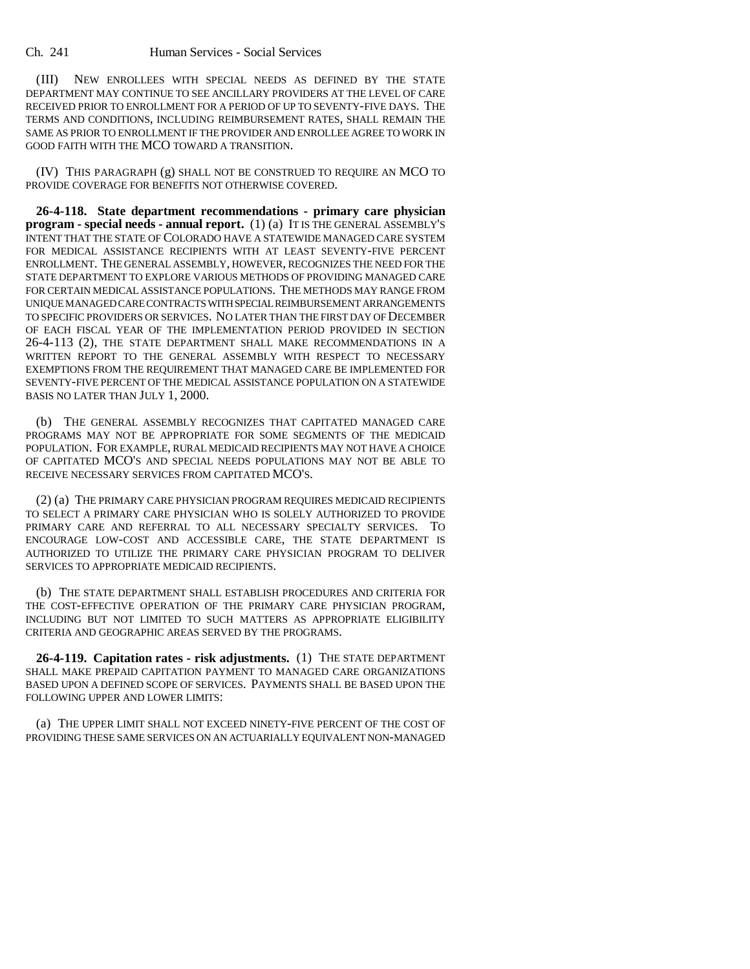(III) NEW ENROLLEES WITH SPECIAL NEEDS AS DEFINED BY THE STATE DEPARTMENT MAY CONTINUE TO SEE ANCILLARY PROVIDERS AT THE LEVEL OF CARE RECEIVED PRIOR TO ENROLLMENT FOR A PERIOD OF UP TO SEVENTY-FIVE DAYS. THE TERMS AND CONDITIONS, INCLUDING REIMBURSEMENT RATES, SHALL REMAIN THE SAME AS PRIOR TO ENROLLMENT IF THE PROVIDER AND ENROLLEE AGREE TO WORK IN GOOD FAITH WITH THE MCO TOWARD A TRANSITION.

(IV) THIS PARAGRAPH (g) SHALL NOT BE CONSTRUED TO REQUIRE AN MCO TO PROVIDE COVERAGE FOR BENEFITS NOT OTHERWISE COVERED.

**26-4-118. State department recommendations - primary care physician program - special needs - annual report.** (1) (a) IT IS THE GENERAL ASSEMBLY'S INTENT THAT THE STATE OF COLORADO HAVE A STATEWIDE MANAGED CARE SYSTEM FOR MEDICAL ASSISTANCE RECIPIENTS WITH AT LEAST SEVENTY-FIVE PERCENT ENROLLMENT. THE GENERAL ASSEMBLY, HOWEVER, RECOGNIZES THE NEED FOR THE STATE DEPARTMENT TO EXPLORE VARIOUS METHODS OF PROVIDING MANAGED CARE FOR CERTAIN MEDICAL ASSISTANCE POPULATIONS. THE METHODS MAY RANGE FROM UNIQUE MANAGED CARE CONTRACTS WITH SPECIAL REIMBURSEMENT ARRANGEMENTS TO SPECIFIC PROVIDERS OR SERVICES. NO LATER THAN THE FIRST DAY OF DECEMBER OF EACH FISCAL YEAR OF THE IMPLEMENTATION PERIOD PROVIDED IN SECTION 26-4-113 (2), THE STATE DEPARTMENT SHALL MAKE RECOMMENDATIONS IN A WRITTEN REPORT TO THE GENERAL ASSEMBLY WITH RESPECT TO NECESSARY EXEMPTIONS FROM THE REQUIREMENT THAT MANAGED CARE BE IMPLEMENTED FOR SEVENTY-FIVE PERCENT OF THE MEDICAL ASSISTANCE POPULATION ON A STATEWIDE BASIS NO LATER THAN JULY 1, 2000.

(b) THE GENERAL ASSEMBLY RECOGNIZES THAT CAPITATED MANAGED CARE PROGRAMS MAY NOT BE APPROPRIATE FOR SOME SEGMENTS OF THE MEDICAID POPULATION. FOR EXAMPLE, RURAL MEDICAID RECIPIENTS MAY NOT HAVE A CHOICE OF CAPITATED MCO'S AND SPECIAL NEEDS POPULATIONS MAY NOT BE ABLE TO RECEIVE NECESSARY SERVICES FROM CAPITATED MCO'S.

(2) (a) THE PRIMARY CARE PHYSICIAN PROGRAM REQUIRES MEDICAID RECIPIENTS TO SELECT A PRIMARY CARE PHYSICIAN WHO IS SOLELY AUTHORIZED TO PROVIDE PRIMARY CARE AND REFERRAL TO ALL NECESSARY SPECIALTY SERVICES. TO ENCOURAGE LOW-COST AND ACCESSIBLE CARE, THE STATE DEPARTMENT IS AUTHORIZED TO UTILIZE THE PRIMARY CARE PHYSICIAN PROGRAM TO DELIVER SERVICES TO APPROPRIATE MEDICAID RECIPIENTS.

(b) THE STATE DEPARTMENT SHALL ESTABLISH PROCEDURES AND CRITERIA FOR THE COST-EFFECTIVE OPERATION OF THE PRIMARY CARE PHYSICIAN PROGRAM, INCLUDING BUT NOT LIMITED TO SUCH MATTERS AS APPROPRIATE ELIGIBILITY CRITERIA AND GEOGRAPHIC AREAS SERVED BY THE PROGRAMS.

**26-4-119. Capitation rates - risk adjustments.** (1) THE STATE DEPARTMENT SHALL MAKE PREPAID CAPITATION PAYMENT TO MANAGED CARE ORGANIZATIONS BASED UPON A DEFINED SCOPE OF SERVICES. PAYMENTS SHALL BE BASED UPON THE FOLLOWING UPPER AND LOWER LIMITS:

(a) THE UPPER LIMIT SHALL NOT EXCEED NINETY-FIVE PERCENT OF THE COST OF PROVIDING THESE SAME SERVICES ON AN ACTUARIALLY EQUIVALENT NON-MANAGED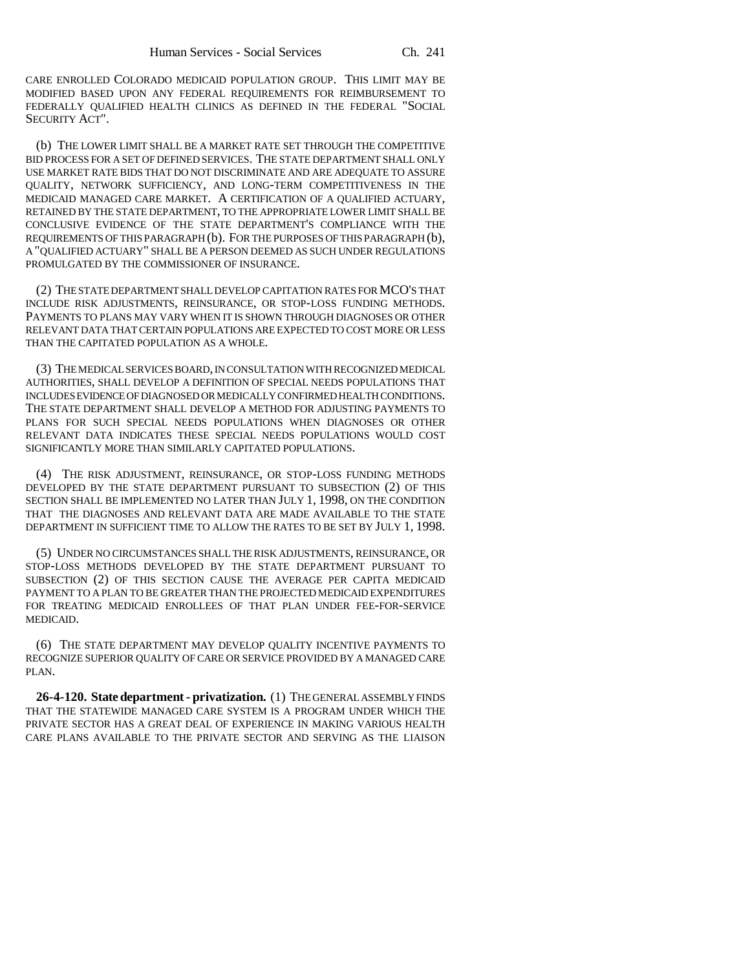CARE ENROLLED COLORADO MEDICAID POPULATION GROUP. THIS LIMIT MAY BE MODIFIED BASED UPON ANY FEDERAL REQUIREMENTS FOR REIMBURSEMENT TO FEDERALLY QUALIFIED HEALTH CLINICS AS DEFINED IN THE FEDERAL "SOCIAL SECURITY ACT".

(b) THE LOWER LIMIT SHALL BE A MARKET RATE SET THROUGH THE COMPETITIVE BID PROCESS FOR A SET OF DEFINED SERVICES. THE STATE DEPARTMENT SHALL ONLY USE MARKET RATE BIDS THAT DO NOT DISCRIMINATE AND ARE ADEQUATE TO ASSURE QUALITY, NETWORK SUFFICIENCY, AND LONG-TERM COMPETITIVENESS IN THE MEDICAID MANAGED CARE MARKET. A CERTIFICATION OF A QUALIFIED ACTUARY, RETAINED BY THE STATE DEPARTMENT, TO THE APPROPRIATE LOWER LIMIT SHALL BE CONCLUSIVE EVIDENCE OF THE STATE DEPARTMENT'S COMPLIANCE WITH THE REQUIREMENTS OF THIS PARAGRAPH (b). FOR THE PURPOSES OF THIS PARAGRAPH (b), A "QUALIFIED ACTUARY" SHALL BE A PERSON DEEMED AS SUCH UNDER REGULATIONS PROMULGATED BY THE COMMISSIONER OF INSURANCE.

(2) THE STATE DEPARTMENT SHALL DEVELOP CAPITATION RATES FOR MCO'S THAT INCLUDE RISK ADJUSTMENTS, REINSURANCE, OR STOP-LOSS FUNDING METHODS. PAYMENTS TO PLANS MAY VARY WHEN IT IS SHOWN THROUGH DIAGNOSES OR OTHER RELEVANT DATA THAT CERTAIN POPULATIONS ARE EXPECTED TO COST MORE OR LESS THAN THE CAPITATED POPULATION AS A WHOLE.

(3) THE MEDICAL SERVICES BOARD, IN CONSULTATION WITH RECOGNIZED MEDICAL AUTHORITIES, SHALL DEVELOP A DEFINITION OF SPECIAL NEEDS POPULATIONS THAT INCLUDES EVIDENCE OF DIAGNOSED OR MEDICALLY CONFIRMED HEALTH CONDITIONS. THE STATE DEPARTMENT SHALL DEVELOP A METHOD FOR ADJUSTING PAYMENTS TO PLANS FOR SUCH SPECIAL NEEDS POPULATIONS WHEN DIAGNOSES OR OTHER RELEVANT DATA INDICATES THESE SPECIAL NEEDS POPULATIONS WOULD COST SIGNIFICANTLY MORE THAN SIMILARLY CAPITATED POPULATIONS.

(4) THE RISK ADJUSTMENT, REINSURANCE, OR STOP-LOSS FUNDING METHODS DEVELOPED BY THE STATE DEPARTMENT PURSUANT TO SUBSECTION (2) OF THIS SECTION SHALL BE IMPLEMENTED NO LATER THAN JULY 1, 1998, ON THE CONDITION THAT THE DIAGNOSES AND RELEVANT DATA ARE MADE AVAILABLE TO THE STATE DEPARTMENT IN SUFFICIENT TIME TO ALLOW THE RATES TO BE SET BY JULY 1, 1998.

(5) UNDER NO CIRCUMSTANCES SHALL THE RISK ADJUSTMENTS, REINSURANCE, OR STOP-LOSS METHODS DEVELOPED BY THE STATE DEPARTMENT PURSUANT TO SUBSECTION (2) OF THIS SECTION CAUSE THE AVERAGE PER CAPITA MEDICAID PAYMENT TO A PLAN TO BE GREATER THAN THE PROJECTED MEDICAID EXPENDITURES FOR TREATING MEDICAID ENROLLEES OF THAT PLAN UNDER FEE-FOR-SERVICE MEDICAID.

(6) THE STATE DEPARTMENT MAY DEVELOP QUALITY INCENTIVE PAYMENTS TO RECOGNIZE SUPERIOR QUALITY OF CARE OR SERVICE PROVIDED BY A MANAGED CARE PLAN.

**26-4-120. State department - privatization.** (1) THE GENERAL ASSEMBLY FINDS THAT THE STATEWIDE MANAGED CARE SYSTEM IS A PROGRAM UNDER WHICH THE PRIVATE SECTOR HAS A GREAT DEAL OF EXPERIENCE IN MAKING VARIOUS HEALTH CARE PLANS AVAILABLE TO THE PRIVATE SECTOR AND SERVING AS THE LIAISON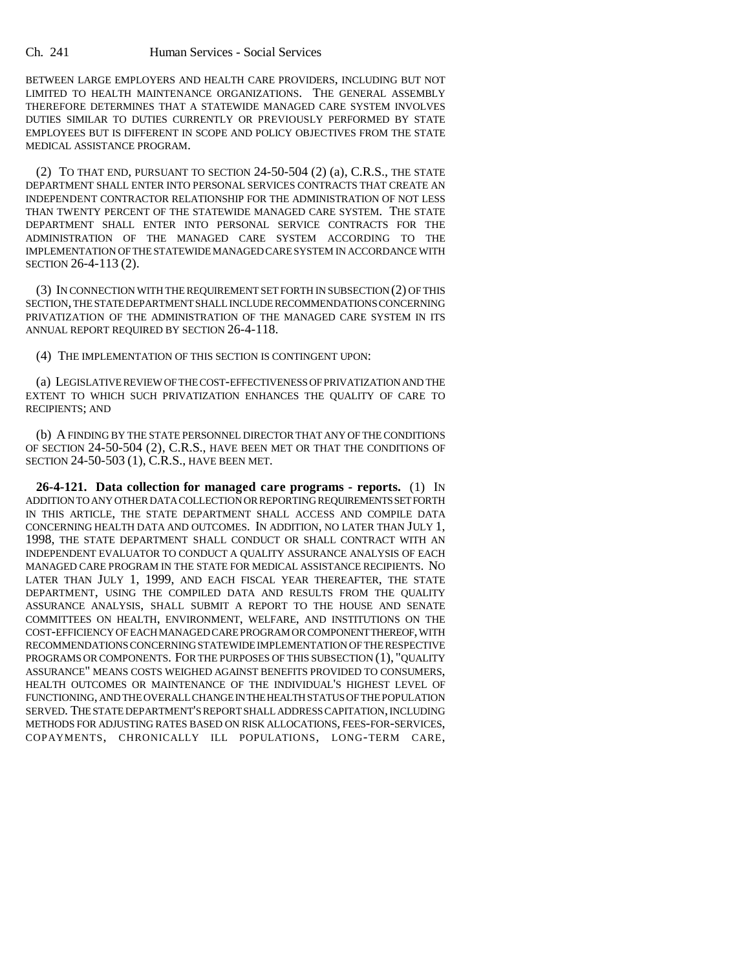Ch. 241 Human Services - Social Services

BETWEEN LARGE EMPLOYERS AND HEALTH CARE PROVIDERS, INCLUDING BUT NOT LIMITED TO HEALTH MAINTENANCE ORGANIZATIONS. THE GENERAL ASSEMBLY THEREFORE DETERMINES THAT A STATEWIDE MANAGED CARE SYSTEM INVOLVES DUTIES SIMILAR TO DUTIES CURRENTLY OR PREVIOUSLY PERFORMED BY STATE EMPLOYEES BUT IS DIFFERENT IN SCOPE AND POLICY OBJECTIVES FROM THE STATE MEDICAL ASSISTANCE PROGRAM.

(2) TO THAT END, PURSUANT TO SECTION 24-50-504 (2) (a), C.R.S., THE STATE DEPARTMENT SHALL ENTER INTO PERSONAL SERVICES CONTRACTS THAT CREATE AN INDEPENDENT CONTRACTOR RELATIONSHIP FOR THE ADMINISTRATION OF NOT LESS THAN TWENTY PERCENT OF THE STATEWIDE MANAGED CARE SYSTEM. THE STATE DEPARTMENT SHALL ENTER INTO PERSONAL SERVICE CONTRACTS FOR THE ADMINISTRATION OF THE MANAGED CARE SYSTEM ACCORDING TO THE IMPLEMENTATION OF THE STATEWIDE MANAGED CARE SYSTEM IN ACCORDANCE WITH SECTION 26-4-113 (2).

(3) IN CONNECTION WITH THE REQUIREMENT SET FORTH IN SUBSECTION (2) OF THIS SECTION, THE STATE DEPARTMENT SHALL INCLUDE RECOMMENDATIONS CONCERNING PRIVATIZATION OF THE ADMINISTRATION OF THE MANAGED CARE SYSTEM IN ITS ANNUAL REPORT REQUIRED BY SECTION 26-4-118.

(4) THE IMPLEMENTATION OF THIS SECTION IS CONTINGENT UPON:

(a) LEGISLATIVE REVIEW OF THE COST-EFFECTIVENESS OF PRIVATIZATION AND THE EXTENT TO WHICH SUCH PRIVATIZATION ENHANCES THE QUALITY OF CARE TO RECIPIENTS; AND

(b) A FINDING BY THE STATE PERSONNEL DIRECTOR THAT ANY OF THE CONDITIONS OF SECTION 24-50-504 (2), C.R.S., HAVE BEEN MET OR THAT THE CONDITIONS OF SECTION 24-50-503 (1), C.R.S., HAVE BEEN MET.

**26-4-121. Data collection for managed care programs - reports.** (1) IN ADDITION TO ANY OTHER DATA COLLECTION OR REPORTING REQUIREMENTS SET FORTH IN THIS ARTICLE, THE STATE DEPARTMENT SHALL ACCESS AND COMPILE DATA CONCERNING HEALTH DATA AND OUTCOMES. IN ADDITION, NO LATER THAN JULY 1, 1998, THE STATE DEPARTMENT SHALL CONDUCT OR SHALL CONTRACT WITH AN INDEPENDENT EVALUATOR TO CONDUCT A QUALITY ASSURANCE ANALYSIS OF EACH MANAGED CARE PROGRAM IN THE STATE FOR MEDICAL ASSISTANCE RECIPIENTS. NO LATER THAN JULY 1, 1999, AND EACH FISCAL YEAR THEREAFTER, THE STATE DEPARTMENT, USING THE COMPILED DATA AND RESULTS FROM THE QUALITY ASSURANCE ANALYSIS, SHALL SUBMIT A REPORT TO THE HOUSE AND SENATE COMMITTEES ON HEALTH, ENVIRONMENT, WELFARE, AND INSTITUTIONS ON THE COST-EFFICIENCY OF EACH MANAGED CARE PROGRAM OR COMPONENT THEREOF, WITH RECOMMENDATIONS CONCERNING STATEWIDE IMPLEMENTATION OF THE RESPECTIVE PROGRAMS OR COMPONENTS. FOR THE PURPOSES OF THIS SUBSECTION (1), "QUALITY ASSURANCE" MEANS COSTS WEIGHED AGAINST BENEFITS PROVIDED TO CONSUMERS, HEALTH OUTCOMES OR MAINTENANCE OF THE INDIVIDUAL'S HIGHEST LEVEL OF FUNCTIONING, AND THE OVERALL CHANGE IN THE HEALTH STATUS OF THE POPULATION SERVED. THE STATE DEPARTMENT'S REPORT SHALL ADDRESS CAPITATION, INCLUDING METHODS FOR ADJUSTING RATES BASED ON RISK ALLOCATIONS, FEES-FOR-SERVICES, COPAYMENTS, CHRONICALLY ILL POPULATIONS, LONG-TERM CARE,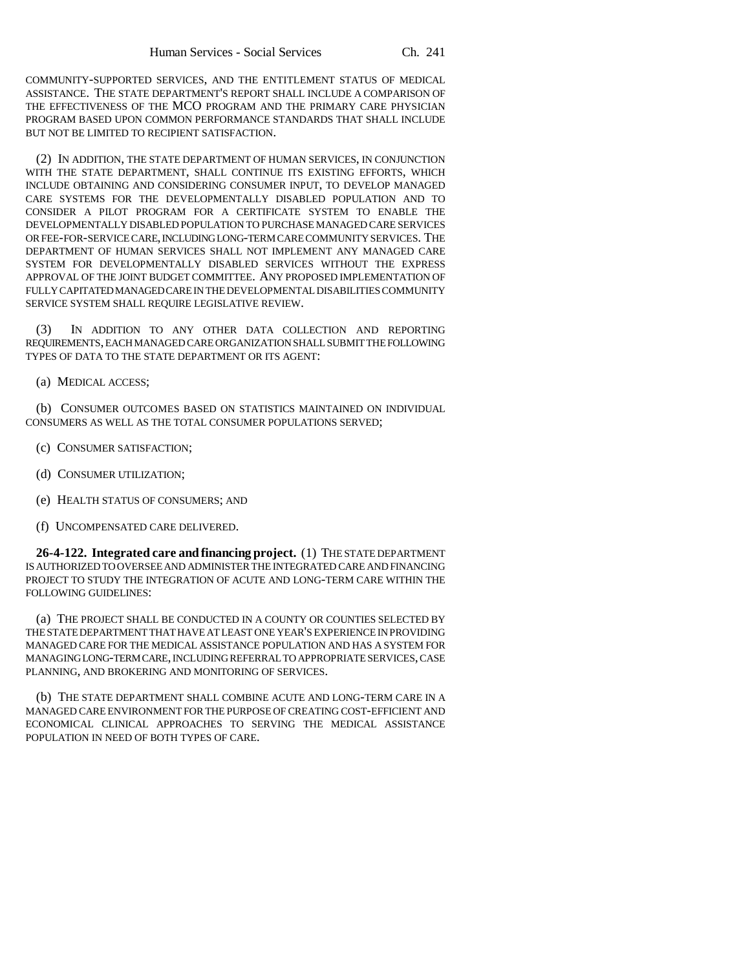COMMUNITY-SUPPORTED SERVICES, AND THE ENTITLEMENT STATUS OF MEDICAL ASSISTANCE. THE STATE DEPARTMENT'S REPORT SHALL INCLUDE A COMPARISON OF THE EFFECTIVENESS OF THE MCO PROGRAM AND THE PRIMARY CARE PHYSICIAN PROGRAM BASED UPON COMMON PERFORMANCE STANDARDS THAT SHALL INCLUDE BUT NOT BE LIMITED TO RECIPIENT SATISFACTION.

(2) IN ADDITION, THE STATE DEPARTMENT OF HUMAN SERVICES, IN CONJUNCTION WITH THE STATE DEPARTMENT, SHALL CONTINUE ITS EXISTING EFFORTS, WHICH INCLUDE OBTAINING AND CONSIDERING CONSUMER INPUT, TO DEVELOP MANAGED CARE SYSTEMS FOR THE DEVELOPMENTALLY DISABLED POPULATION AND TO CONSIDER A PILOT PROGRAM FOR A CERTIFICATE SYSTEM TO ENABLE THE DEVELOPMENTALLY DISABLED POPULATION TO PURCHASE MANAGED CARE SERVICES OR FEE-FOR-SERVICE CARE, INCLUDING LONG-TERM CARE COMMUNITY SERVICES. THE DEPARTMENT OF HUMAN SERVICES SHALL NOT IMPLEMENT ANY MANAGED CARE SYSTEM FOR DEVELOPMENTALLY DISABLED SERVICES WITHOUT THE EXPRESS APPROVAL OF THE JOINT BUDGET COMMITTEE. ANY PROPOSED IMPLEMENTATION OF FULLY CAPITATED MANAGED CARE IN THE DEVELOPMENTAL DISABILITIES COMMUNITY SERVICE SYSTEM SHALL REQUIRE LEGISLATIVE REVIEW.

(3) IN ADDITION TO ANY OTHER DATA COLLECTION AND REPORTING REQUIREMENTS, EACH MANAGED CARE ORGANIZATION SHALL SUBMIT THE FOLLOWING TYPES OF DATA TO THE STATE DEPARTMENT OR ITS AGENT:

(a) MEDICAL ACCESS;

(b) CONSUMER OUTCOMES BASED ON STATISTICS MAINTAINED ON INDIVIDUAL CONSUMERS AS WELL AS THE TOTAL CONSUMER POPULATIONS SERVED;

- (c) CONSUMER SATISFACTION;
- (d) CONSUMER UTILIZATION;
- (e) HEALTH STATUS OF CONSUMERS; AND
- (f) UNCOMPENSATED CARE DELIVERED.

**26-4-122. Integrated care and financing project.** (1) THE STATE DEPARTMENT IS AUTHORIZED TO OVERSEE AND ADMINISTER THE INTEGRATED CARE AND FINANCING PROJECT TO STUDY THE INTEGRATION OF ACUTE AND LONG-TERM CARE WITHIN THE FOLLOWING GUIDELINES:

(a) THE PROJECT SHALL BE CONDUCTED IN A COUNTY OR COUNTIES SELECTED BY THE STATE DEPARTMENT THAT HAVE AT LEAST ONE YEAR'S EXPERIENCE IN PROVIDING MANAGED CARE FOR THE MEDICAL ASSISTANCE POPULATION AND HAS A SYSTEM FOR MANAGING LONG-TERM CARE, INCLUDING REFERRAL TO APPROPRIATE SERVICES, CASE PLANNING, AND BROKERING AND MONITORING OF SERVICES.

(b) THE STATE DEPARTMENT SHALL COMBINE ACUTE AND LONG-TERM CARE IN A MANAGED CARE ENVIRONMENT FOR THE PURPOSE OF CREATING COST-EFFICIENT AND ECONOMICAL CLINICAL APPROACHES TO SERVING THE MEDICAL ASSISTANCE POPULATION IN NEED OF BOTH TYPES OF CARE.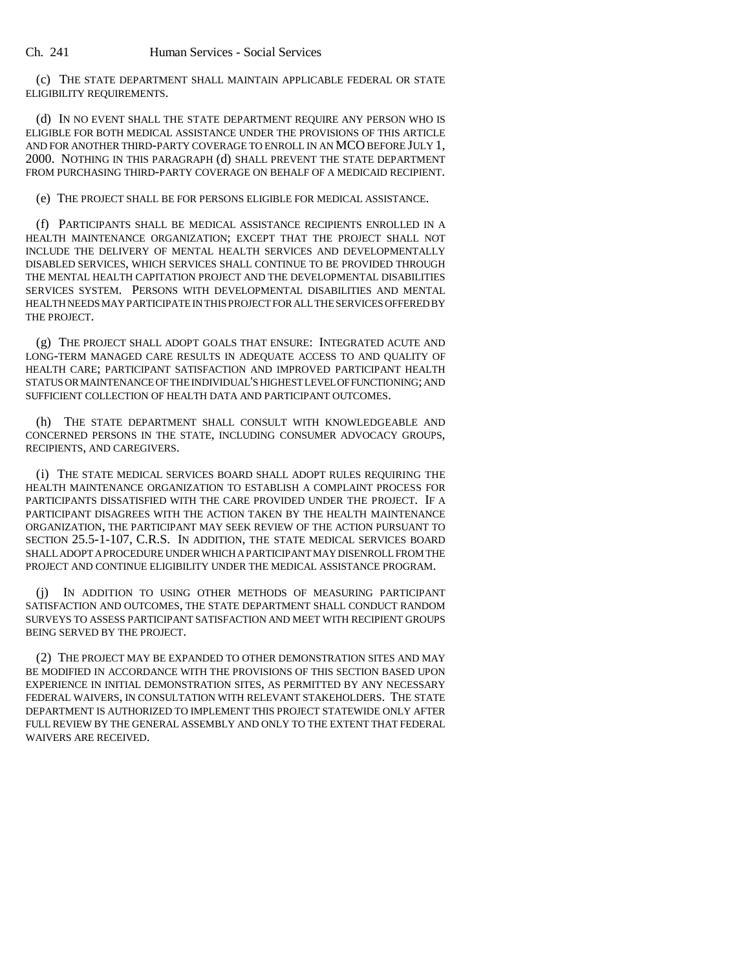(c) THE STATE DEPARTMENT SHALL MAINTAIN APPLICABLE FEDERAL OR STATE ELIGIBILITY REQUIREMENTS.

(d) IN NO EVENT SHALL THE STATE DEPARTMENT REQUIRE ANY PERSON WHO IS ELIGIBLE FOR BOTH MEDICAL ASSISTANCE UNDER THE PROVISIONS OF THIS ARTICLE AND FOR ANOTHER THIRD-PARTY COVERAGE TO ENROLL IN AN MCO BEFORE JULY 1, 2000. NOTHING IN THIS PARAGRAPH (d) SHALL PREVENT THE STATE DEPARTMENT FROM PURCHASING THIRD-PARTY COVERAGE ON BEHALF OF A MEDICAID RECIPIENT.

(e) THE PROJECT SHALL BE FOR PERSONS ELIGIBLE FOR MEDICAL ASSISTANCE.

(f) PARTICIPANTS SHALL BE MEDICAL ASSISTANCE RECIPIENTS ENROLLED IN A HEALTH MAINTENANCE ORGANIZATION; EXCEPT THAT THE PROJECT SHALL NOT INCLUDE THE DELIVERY OF MENTAL HEALTH SERVICES AND DEVELOPMENTALLY DISABLED SERVICES, WHICH SERVICES SHALL CONTINUE TO BE PROVIDED THROUGH THE MENTAL HEALTH CAPITATION PROJECT AND THE DEVELOPMENTAL DISABILITIES SERVICES SYSTEM. PERSONS WITH DEVELOPMENTAL DISABILITIES AND MENTAL HEALTH NEEDS MAY PARTICIPATE IN THIS PROJECT FOR ALL THE SERVICES OFFERED BY THE PROJECT.

(g) THE PROJECT SHALL ADOPT GOALS THAT ENSURE: INTEGRATED ACUTE AND LONG-TERM MANAGED CARE RESULTS IN ADEQUATE ACCESS TO AND QUALITY OF HEALTH CARE; PARTICIPANT SATISFACTION AND IMPROVED PARTICIPANT HEALTH STATUS OR MAINTENANCE OF THE INDIVIDUAL'S HIGHEST LEVEL OF FUNCTIONING; AND SUFFICIENT COLLECTION OF HEALTH DATA AND PARTICIPANT OUTCOMES.

(h) THE STATE DEPARTMENT SHALL CONSULT WITH KNOWLEDGEABLE AND CONCERNED PERSONS IN THE STATE, INCLUDING CONSUMER ADVOCACY GROUPS, RECIPIENTS, AND CAREGIVERS.

(i) THE STATE MEDICAL SERVICES BOARD SHALL ADOPT RULES REQUIRING THE HEALTH MAINTENANCE ORGANIZATION TO ESTABLISH A COMPLAINT PROCESS FOR PARTICIPANTS DISSATISFIED WITH THE CARE PROVIDED UNDER THE PROJECT. IF A PARTICIPANT DISAGREES WITH THE ACTION TAKEN BY THE HEALTH MAINTENANCE ORGANIZATION, THE PARTICIPANT MAY SEEK REVIEW OF THE ACTION PURSUANT TO SECTION 25.5-1-107, C.R.S. IN ADDITION, THE STATE MEDICAL SERVICES BOARD SHALL ADOPT A PROCEDURE UNDER WHICH A PARTICIPANT MAY DISENROLL FROM THE PROJECT AND CONTINUE ELIGIBILITY UNDER THE MEDICAL ASSISTANCE PROGRAM.

(j) IN ADDITION TO USING OTHER METHODS OF MEASURING PARTICIPANT SATISFACTION AND OUTCOMES, THE STATE DEPARTMENT SHALL CONDUCT RANDOM SURVEYS TO ASSESS PARTICIPANT SATISFACTION AND MEET WITH RECIPIENT GROUPS BEING SERVED BY THE PROJECT.

(2) THE PROJECT MAY BE EXPANDED TO OTHER DEMONSTRATION SITES AND MAY BE MODIFIED IN ACCORDANCE WITH THE PROVISIONS OF THIS SECTION BASED UPON EXPERIENCE IN INITIAL DEMONSTRATION SITES, AS PERMITTED BY ANY NECESSARY FEDERAL WAIVERS, IN CONSULTATION WITH RELEVANT STAKEHOLDERS. THE STATE DEPARTMENT IS AUTHORIZED TO IMPLEMENT THIS PROJECT STATEWIDE ONLY AFTER FULL REVIEW BY THE GENERAL ASSEMBLY AND ONLY TO THE EXTENT THAT FEDERAL WAIVERS ARE RECEIVED.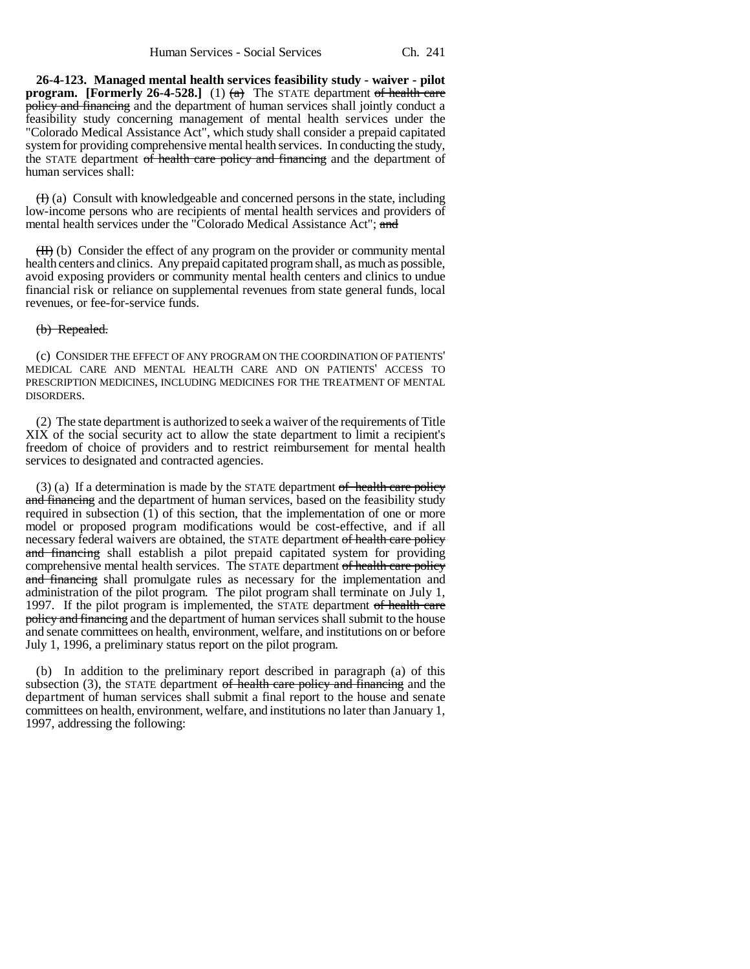**26-4-123. Managed mental health services feasibility study - waiver - pilot program. [Formerly 26-4-528.]** (1)  $\left(\frac{a}{a}\right)$  The STATE department of health care policy and financing and the department of human services shall jointly conduct a feasibility study concerning management of mental health services under the "Colorado Medical Assistance Act", which study shall consider a prepaid capitated system for providing comprehensive mental health services. In conducting the study, the STATE department of health care policy and financing and the department of human services shall:

 $(H)$  (a) Consult with knowledgeable and concerned persons in the state, including low-income persons who are recipients of mental health services and providers of mental health services under the "Colorado Medical Assistance Act"; and

 $(H)$  (b) Consider the effect of any program on the provider or community mental health centers and clinics. Any prepaid capitated program shall, as much as possible, avoid exposing providers or community mental health centers and clinics to undue financial risk or reliance on supplemental revenues from state general funds, local revenues, or fee-for-service funds.

#### (b) Repealed.

(c) CONSIDER THE EFFECT OF ANY PROGRAM ON THE COORDINATION OF PATIENTS' MEDICAL CARE AND MENTAL HEALTH CARE AND ON PATIENTS' ACCESS TO PRESCRIPTION MEDICINES, INCLUDING MEDICINES FOR THE TREATMENT OF MENTAL DISORDERS.

(2) The state department is authorized to seek a waiver of the requirements of Title XIX of the social security act to allow the state department to limit a recipient's freedom of choice of providers and to restrict reimbursement for mental health services to designated and contracted agencies.

 $(3)$  (a) If a determination is made by the STATE department of health care policy and financing and the department of human services, based on the feasibility study required in subsection (1) of this section, that the implementation of one or more model or proposed program modifications would be cost-effective, and if all necessary federal waivers are obtained, the STATE department of health care policy and financing shall establish a pilot prepaid capitated system for providing comprehensive mental health services. The STATE department of health care policy and financing shall promulgate rules as necessary for the implementation and administration of the pilot program. The pilot program shall terminate on July 1, 1997. If the pilot program is implemented, the STATE department of health care policy and financing and the department of human services shall submit to the house and senate committees on health, environment, welfare, and institutions on or before July 1, 1996, a preliminary status report on the pilot program.

(b) In addition to the preliminary report described in paragraph (a) of this subsection  $(3)$ , the STATE department of health care policy and financing and the department of human services shall submit a final report to the house and senate committees on health, environment, welfare, and institutions no later than January 1, 1997, addressing the following: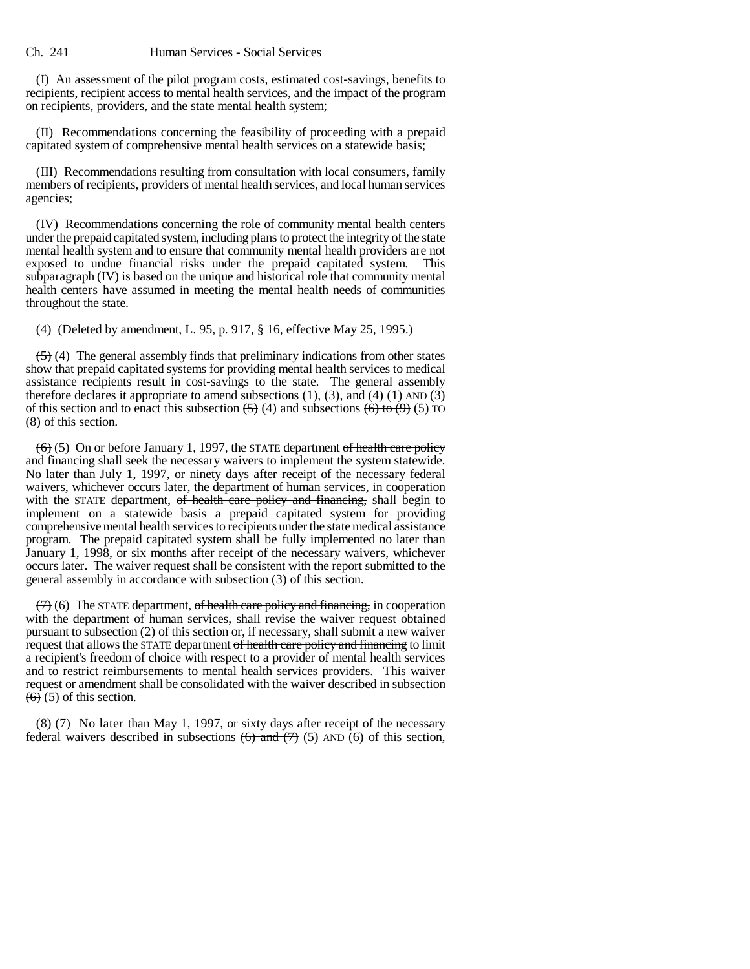(I) An assessment of the pilot program costs, estimated cost-savings, benefits to recipients, recipient access to mental health services, and the impact of the program on recipients, providers, and the state mental health system;

(II) Recommendations concerning the feasibility of proceeding with a prepaid capitated system of comprehensive mental health services on a statewide basis;

(III) Recommendations resulting from consultation with local consumers, family members of recipients, providers of mental health services, and local human services agencies;

(IV) Recommendations concerning the role of community mental health centers under the prepaid capitated system, including plans to protect the integrity of the state mental health system and to ensure that community mental health providers are not exposed to undue financial risks under the prepaid capitated system. This subparagraph (IV) is based on the unique and historical role that community mental health centers have assumed in meeting the mental health needs of communities throughout the state.

#### (4) (Deleted by amendment, L. 95, p. 917, § 16, effective May 25, 1995.)

 $(5)$  (4) The general assembly finds that preliminary indications from other states show that prepaid capitated systems for providing mental health services to medical assistance recipients result in cost-savings to the state. The general assembly therefore declares it appropriate to amend subsections  $(1)$ ,  $(3)$ , and  $(4)$  (1) AND (3) of this section and to enact this subsection  $\left(\frac{5}{2}\right)$  (4) and subsections  $\left(\frac{6}{2}\right)$  to  $\left(\frac{9}{2}\right)$  (5) TO (8) of this section.

 $(6)$  (5) On or before January 1, 1997, the STATE department of health care policy and financing shall seek the necessary waivers to implement the system statewide. No later than July 1, 1997, or ninety days after receipt of the necessary federal waivers, whichever occurs later, the department of human services, in cooperation with the STATE department, of health care policy and financing, shall begin to implement on a statewide basis a prepaid capitated system for providing comprehensive mental health services to recipients under the state medical assistance program. The prepaid capitated system shall be fully implemented no later than January 1, 1998, or six months after receipt of the necessary waivers, whichever occurs later. The waiver request shall be consistent with the report submitted to the general assembly in accordance with subsection (3) of this section.

 $(7)$  (6) The STATE department, of health care policy and financing, in cooperation with the department of human services, shall revise the waiver request obtained pursuant to subsection (2) of this section or, if necessary, shall submit a new waiver request that allows the STATE department of health care policy and financing to limit a recipient's freedom of choice with respect to a provider of mental health services and to restrict reimbursements to mental health services providers. This waiver request or amendment shall be consolidated with the waiver described in subsection  $\overline{(6)}$  (5) of this section.

 $(8)$  (7) No later than May 1, 1997, or sixty days after receipt of the necessary federal waivers described in subsections  $(6)$  and  $(7)$   $(5)$  AND  $(6)$  of this section,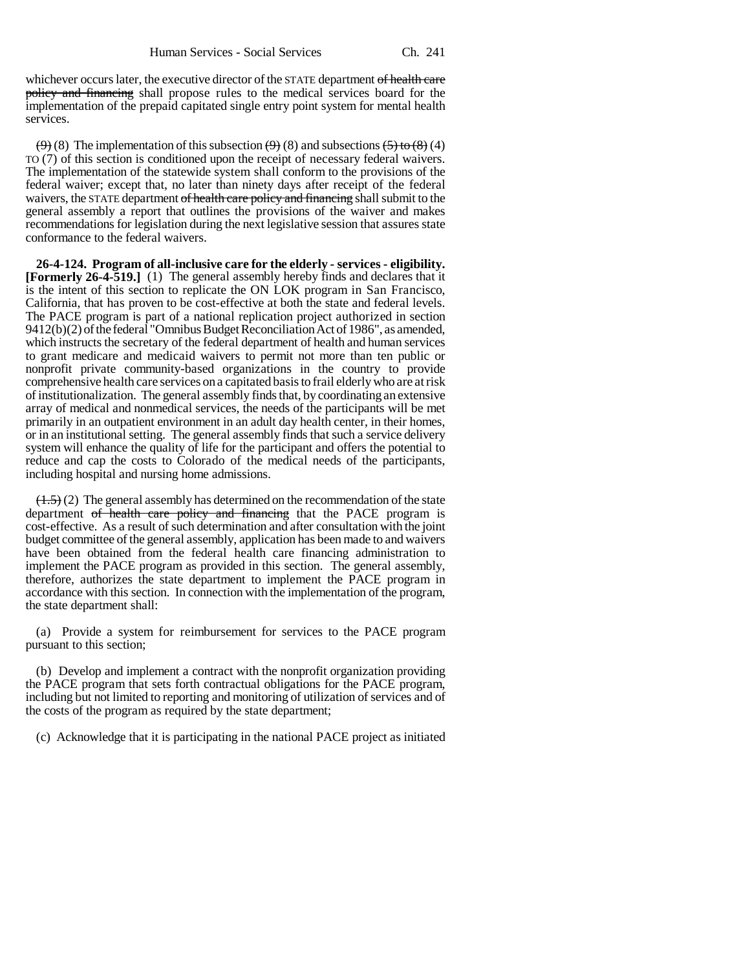whichever occurs later, the executive director of the STATE department of health care policy and financing shall propose rules to the medical services board for the implementation of the prepaid capitated single entry point system for mental health services.

 $(9)$  (8) The implementation of this subsection  $(9)$  (8) and subsections  $(5)$  to  $(8)$  (4) TO (7) of this section is conditioned upon the receipt of necessary federal waivers. The implementation of the statewide system shall conform to the provisions of the federal waiver; except that, no later than ninety days after receipt of the federal waivers, the STATE department of health care policy and financing shall submit to the general assembly a report that outlines the provisions of the waiver and makes recommendations for legislation during the next legislative session that assures state conformance to the federal waivers.

**26-4-124. Program of all-inclusive care for the elderly - services - eligibility. [Formerly 26-4-519.]** (1) The general assembly hereby finds and declares that it is the intent of this section to replicate the ON LOK program in San Francisco, California, that has proven to be cost-effective at both the state and federal levels. The PACE program is part of a national replication project authorized in section 9412(b)(2) of the federal "Omnibus Budget Reconciliation Act of 1986", as amended, which instructs the secretary of the federal department of health and human services to grant medicare and medicaid waivers to permit not more than ten public or nonprofit private community-based organizations in the country to provide comprehensive health care services on a capitated basis to frail elderly who are at risk of institutionalization. The general assembly finds that, by coordinating an extensive array of medical and nonmedical services, the needs of the participants will be met primarily in an outpatient environment in an adult day health center, in their homes, or in an institutional setting. The general assembly finds that such a service delivery system will enhance the quality of life for the participant and offers the potential to reduce and cap the costs to Colorado of the medical needs of the participants, including hospital and nursing home admissions.

 $(1.5)$  (2) The general assembly has determined on the recommendation of the state department of health care policy and financing that the PACE program is cost-effective. As a result of such determination and after consultation with the joint budget committee of the general assembly, application has been made to and waivers have been obtained from the federal health care financing administration to implement the PACE program as provided in this section. The general assembly, therefore, authorizes the state department to implement the PACE program in accordance with this section. In connection with the implementation of the program, the state department shall:

(a) Provide a system for reimbursement for services to the PACE program pursuant to this section;

(b) Develop and implement a contract with the nonprofit organization providing the PACE program that sets forth contractual obligations for the PACE program, including but not limited to reporting and monitoring of utilization of services and of the costs of the program as required by the state department;

(c) Acknowledge that it is participating in the national PACE project as initiated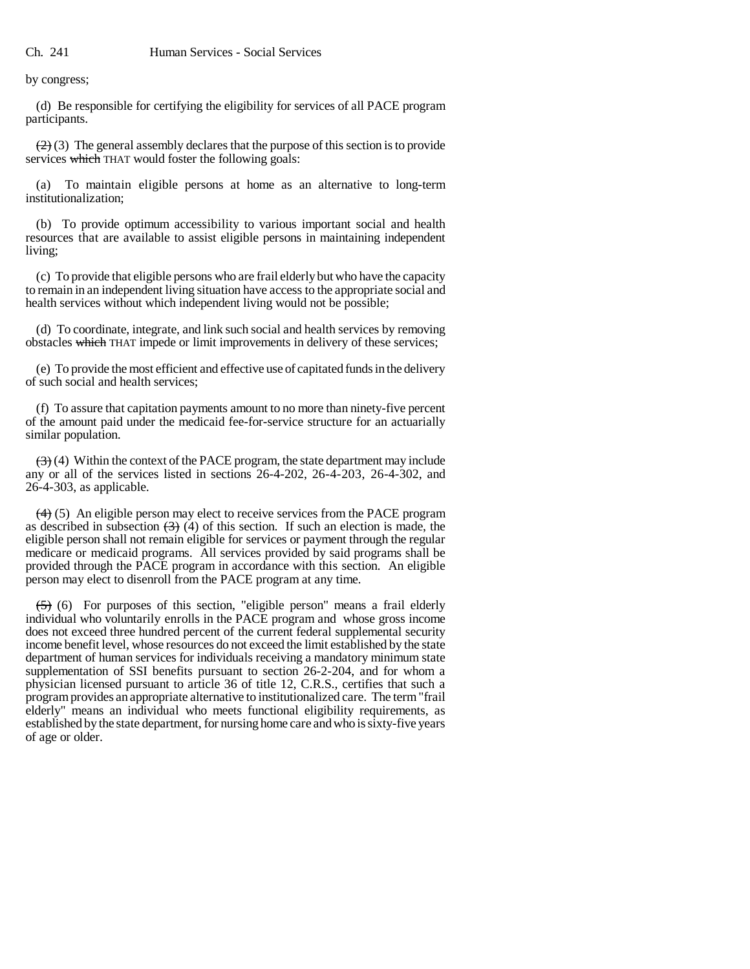by congress;

(d) Be responsible for certifying the eligibility for services of all PACE program participants.

 $(2)$  (3) The general assembly declares that the purpose of this section is to provide services which THAT would foster the following goals:

(a) To maintain eligible persons at home as an alternative to long-term institutionalization;

(b) To provide optimum accessibility to various important social and health resources that are available to assist eligible persons in maintaining independent living;

(c) To provide that eligible persons who are frail elderly but who have the capacity to remain in an independent living situation have access to the appropriate social and health services without which independent living would not be possible;

(d) To coordinate, integrate, and link such social and health services by removing obstacles which THAT impede or limit improvements in delivery of these services;

(e) To provide the most efficient and effective use of capitated funds in the delivery of such social and health services;

(f) To assure that capitation payments amount to no more than ninety-five percent of the amount paid under the medicaid fee-for-service structure for an actuarially similar population.

 $(3)$  (4) Within the context of the PACE program, the state department may include any or all of the services listed in sections 26-4-202, 26-4-203, 26-4-302, and 26-4-303, as applicable.

 $(4)$  (5) An eligible person may elect to receive services from the PACE program as described in subsection  $(3)$  (4) of this section. If such an election is made, the eligible person shall not remain eligible for services or payment through the regular medicare or medicaid programs. All services provided by said programs shall be provided through the PACE program in accordance with this section. An eligible person may elect to disenroll from the PACE program at any time.

(5) (6) For purposes of this section, "eligible person" means a frail elderly individual who voluntarily enrolls in the PACE program and whose gross income does not exceed three hundred percent of the current federal supplemental security income benefit level, whose resources do not exceed the limit established by the state department of human services for individuals receiving a mandatory minimum state supplementation of SSI benefits pursuant to section 26-2-204, and for whom a physician licensed pursuant to article 36 of title 12, C.R.S., certifies that such a program provides an appropriate alternative to institutionalized care. The term "frail elderly" means an individual who meets functional eligibility requirements, as established by the state department, for nursing home care and who is sixty-five years of age or older.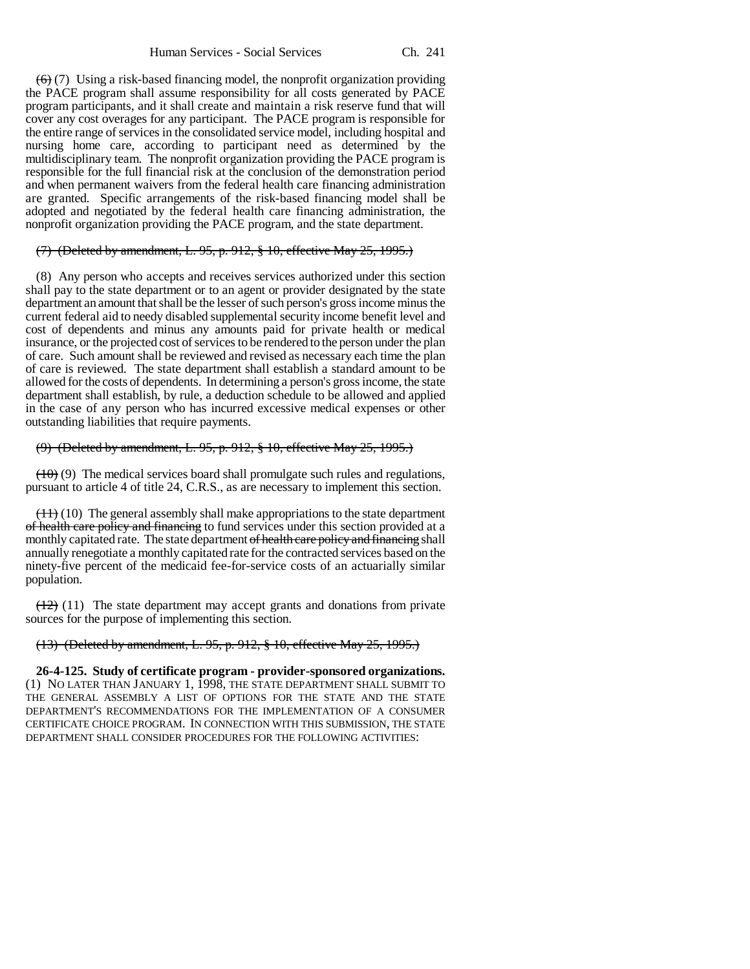$(6)$  (7) Using a risk-based financing model, the nonprofit organization providing the PACE program shall assume responsibility for all costs generated by PACE program participants, and it shall create and maintain a risk reserve fund that will cover any cost overages for any participant. The PACE program is responsible for the entire range of services in the consolidated service model, including hospital and nursing home care, according to participant need as determined by the multidisciplinary team. The nonprofit organization providing the PACE program is responsible for the full financial risk at the conclusion of the demonstration period and when permanent waivers from the federal health care financing administration are granted. Specific arrangements of the risk-based financing model shall be adopted and negotiated by the federal health care financing administration, the nonprofit organization providing the PACE program, and the state department.

#### (7) (Deleted by amendment, L. 95, p. 912, § 10, effective May 25, 1995.)

(8) Any person who accepts and receives services authorized under this section shall pay to the state department or to an agent or provider designated by the state department an amount that shall be the lesser of such person's gross income minus the current federal aid to needy disabled supplemental security income benefit level and cost of dependents and minus any amounts paid for private health or medical insurance, or the projected cost of services to be rendered to the person under the plan of care. Such amount shall be reviewed and revised as necessary each time the plan of care is reviewed. The state department shall establish a standard amount to be allowed for the costs of dependents. In determining a person's gross income, the state department shall establish, by rule, a deduction schedule to be allowed and applied in the case of any person who has incurred excessive medical expenses or other outstanding liabilities that require payments.

## (9) (Deleted by amendment, L. 95, p. 912, § 10, effective May 25, 1995.)

 $(10)$  (9) The medical services board shall promulgate such rules and regulations, pursuant to article 4 of title 24, C.R.S., as are necessary to implement this section.

 $(11)$  (10) The general assembly shall make appropriations to the state department of health care policy and financing to fund services under this section provided at a monthly capitated rate. The state department of health care policy and financing shall annually renegotiate a monthly capitated rate for the contracted services based on the ninety-five percent of the medicaid fee-for-service costs of an actuarially similar population.

 $(12)$  (11) The state department may accept grants and donations from private sources for the purpose of implementing this section.

#### (13) (Deleted by amendment, L. 95, p. 912, § 10, effective May 25, 1995.)

**26-4-125. Study of certificate program - provider-sponsored organizations.** (1) NO LATER THAN JANUARY 1, 1998, THE STATE DEPARTMENT SHALL SUBMIT TO THE GENERAL ASSEMBLY A LIST OF OPTIONS FOR THE STATE AND THE STATE DEPARTMENT'S RECOMMENDATIONS FOR THE IMPLEMENTATION OF A CONSUMER CERTIFICATE CHOICE PROGRAM. IN CONNECTION WITH THIS SUBMISSION, THE STATE DEPARTMENT SHALL CONSIDER PROCEDURES FOR THE FOLLOWING ACTIVITIES: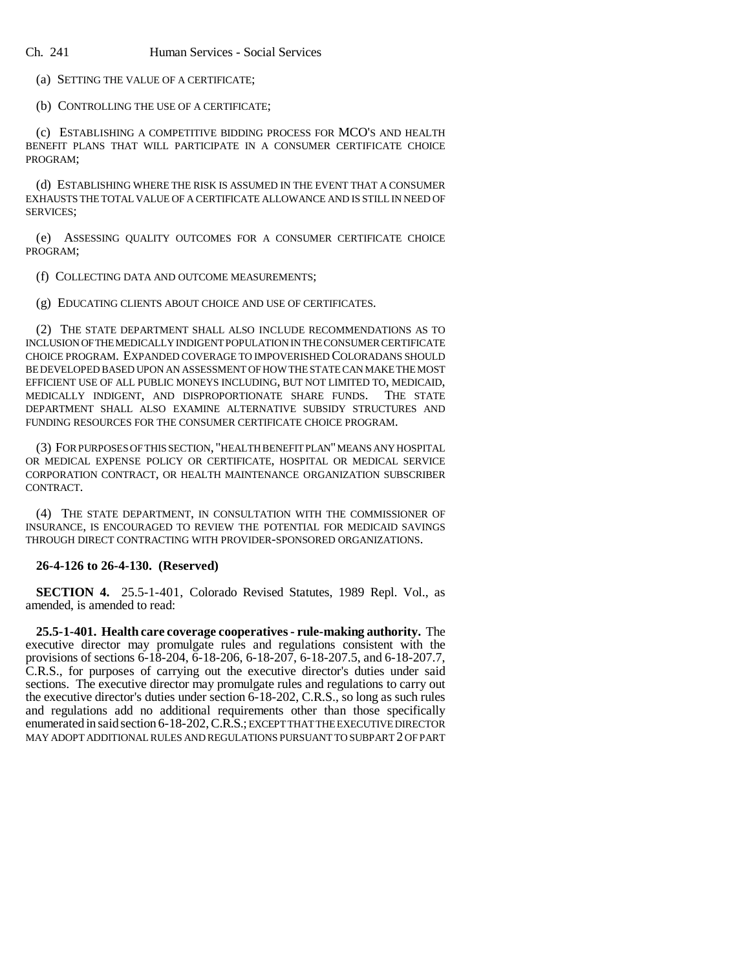(a) SETTING THE VALUE OF A CERTIFICATE;

(b) CONTROLLING THE USE OF A CERTIFICATE;

(c) ESTABLISHING A COMPETITIVE BIDDING PROCESS FOR MCO'S AND HEALTH BENEFIT PLANS THAT WILL PARTICIPATE IN A CONSUMER CERTIFICATE CHOICE PROGRAM;

(d) ESTABLISHING WHERE THE RISK IS ASSUMED IN THE EVENT THAT A CONSUMER EXHAUSTS THE TOTAL VALUE OF A CERTIFICATE ALLOWANCE AND IS STILL IN NEED OF SERVICES;

(e) ASSESSING QUALITY OUTCOMES FOR A CONSUMER CERTIFICATE CHOICE PROGRAM;

(f) COLLECTING DATA AND OUTCOME MEASUREMENTS;

(g) EDUCATING CLIENTS ABOUT CHOICE AND USE OF CERTIFICATES.

(2) THE STATE DEPARTMENT SHALL ALSO INCLUDE RECOMMENDATIONS AS TO INCLUSION OF THE MEDICALLY INDIGENT POPULATION IN THE CONSUMER CERTIFICATE CHOICE PROGRAM. EXPANDED COVERAGE TO IMPOVERISHED COLORADANS SHOULD BE DEVELOPED BASED UPON AN ASSESSMENT OF HOW THE STATE CAN MAKE THE MOST EFFICIENT USE OF ALL PUBLIC MONEYS INCLUDING, BUT NOT LIMITED TO, MEDICAID, MEDICALLY INDIGENT, AND DISPROPORTIONATE SHARE FUNDS. THE STATE DEPARTMENT SHALL ALSO EXAMINE ALTERNATIVE SUBSIDY STRUCTURES AND FUNDING RESOURCES FOR THE CONSUMER CERTIFICATE CHOICE PROGRAM.

(3) FOR PURPOSES OF THIS SECTION, "HEALTH BENEFIT PLAN" MEANS ANY HOSPITAL OR MEDICAL EXPENSE POLICY OR CERTIFICATE, HOSPITAL OR MEDICAL SERVICE CORPORATION CONTRACT, OR HEALTH MAINTENANCE ORGANIZATION SUBSCRIBER CONTRACT.

(4) THE STATE DEPARTMENT, IN CONSULTATION WITH THE COMMISSIONER OF INSURANCE, IS ENCOURAGED TO REVIEW THE POTENTIAL FOR MEDICAID SAVINGS THROUGH DIRECT CONTRACTING WITH PROVIDER-SPONSORED ORGANIZATIONS.

#### **26-4-126 to 26-4-130. (Reserved)**

**SECTION 4.** 25.5-1-401, Colorado Revised Statutes, 1989 Repl. Vol., as amended, is amended to read:

**25.5-1-401. Health care coverage cooperatives - rule-making authority.** The executive director may promulgate rules and regulations consistent with the provisions of sections 6-18-204, 6-18-206, 6-18-207, 6-18-207.5, and 6-18-207.7, C.R.S., for purposes of carrying out the executive director's duties under said sections. The executive director may promulgate rules and regulations to carry out the executive director's duties under section 6-18-202, C.R.S., so long as such rules and regulations add no additional requirements other than those specifically enumerated in said section 6-18-202, C.R.S.; EXCEPT THAT THE EXECUTIVE DIRECTOR MAY ADOPT ADDITIONAL RULES AND REGULATIONS PURSUANT TO SUBPART 2 OF PART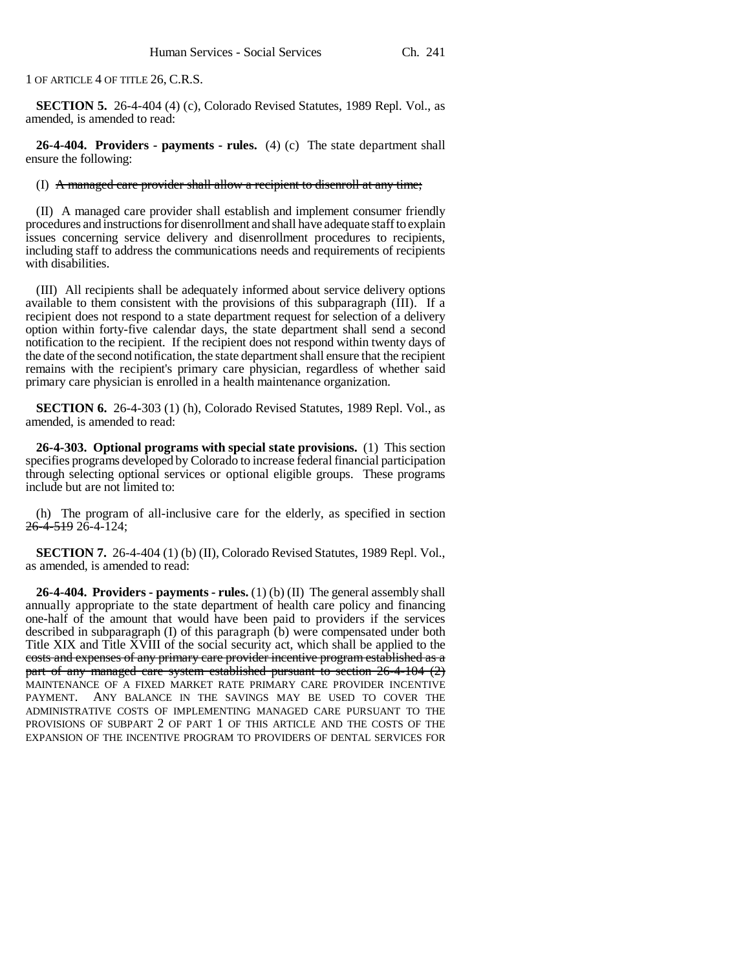1 OF ARTICLE 4 OF TITLE 26, C.R.S.

**SECTION 5.** 26-4-404 (4) (c), Colorado Revised Statutes, 1989 Repl. Vol., as amended, is amended to read:

**26-4-404. Providers - payments - rules.** (4) (c) The state department shall ensure the following:

#### (I) A managed care provider shall allow a recipient to disenroll at any time;

(II) A managed care provider shall establish and implement consumer friendly procedures and instructions for disenrollment and shall have adequate staff to explain issues concerning service delivery and disenrollment procedures to recipients, including staff to address the communications needs and requirements of recipients with disabilities.

(III) All recipients shall be adequately informed about service delivery options available to them consistent with the provisions of this subparagraph (III). If a recipient does not respond to a state department request for selection of a delivery option within forty-five calendar days, the state department shall send a second notification to the recipient. If the recipient does not respond within twenty days of the date of the second notification, the state department shall ensure that the recipient remains with the recipient's primary care physician, regardless of whether said primary care physician is enrolled in a health maintenance organization.

**SECTION 6.** 26-4-303 (1) (h), Colorado Revised Statutes, 1989 Repl. Vol., as amended, is amended to read:

**26-4-303. Optional programs with special state provisions.** (1) This section specifies programs developed by Colorado to increase federal financial participation through selecting optional services or optional eligible groups. These programs include but are not limited to:

(h) The program of all-inclusive care for the elderly, as specified in section 26-4-519 26-4-124;

**SECTION 7.** 26-4-404 (1) (b) (II), Colorado Revised Statutes, 1989 Repl. Vol., as amended, is amended to read:

**26-4-404. Providers - payments - rules.** (1) (b) (II) The general assembly shall annually appropriate to the state department of health care policy and financing one-half of the amount that would have been paid to providers if the services described in subparagraph (I) of this paragraph (b) were compensated under both Title XIX and Title XVIII of the social security act, which shall be applied to the costs and expenses of any primary care provider incentive program established as a part of any managed care system established pursuant to section 26-4-104 (2) MAINTENANCE OF A FIXED MARKET RATE PRIMARY CARE PROVIDER INCENTIVE PAYMENT. ANY BALANCE IN THE SAVINGS MAY BE USED TO COVER THE ADMINISTRATIVE COSTS OF IMPLEMENTING MANAGED CARE PURSUANT TO THE PROVISIONS OF SUBPART 2 OF PART 1 OF THIS ARTICLE AND THE COSTS OF THE EXPANSION OF THE INCENTIVE PROGRAM TO PROVIDERS OF DENTAL SERVICES FOR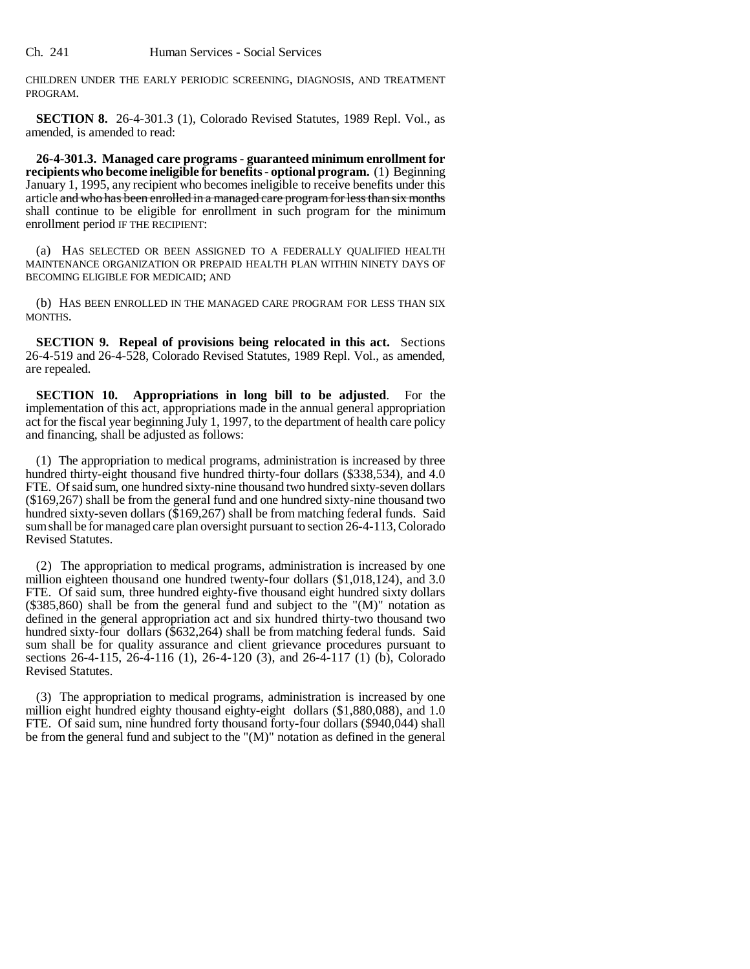CHILDREN UNDER THE EARLY PERIODIC SCREENING, DIAGNOSIS, AND TREATMENT PROGRAM.

**SECTION 8.** 26-4-301.3 (1), Colorado Revised Statutes, 1989 Repl. Vol., as amended, is amended to read:

**26-4-301.3. Managed care programs - guaranteed minimum enrollment for recipients who become ineligible for benefits - optional program.** (1) Beginning January 1, 1995, any recipient who becomes ineligible to receive benefits under this article and who has been enrolled in a managed care program for less than six months shall continue to be eligible for enrollment in such program for the minimum enrollment period IF THE RECIPIENT:

(a) HAS SELECTED OR BEEN ASSIGNED TO A FEDERALLY QUALIFIED HEALTH MAINTENANCE ORGANIZATION OR PREPAID HEALTH PLAN WITHIN NINETY DAYS OF BECOMING ELIGIBLE FOR MEDICAID; AND

(b) HAS BEEN ENROLLED IN THE MANAGED CARE PROGRAM FOR LESS THAN SIX MONTHS.

**SECTION 9. Repeal of provisions being relocated in this act.** Sections 26-4-519 and 26-4-528, Colorado Revised Statutes, 1989 Repl. Vol., as amended, are repealed.

**SECTION 10. Appropriations in long bill to be adjusted**. For the implementation of this act, appropriations made in the annual general appropriation act for the fiscal year beginning July 1, 1997, to the department of health care policy and financing, shall be adjusted as follows:

(1) The appropriation to medical programs, administration is increased by three hundred thirty-eight thousand five hundred thirty-four dollars (\$338,534), and 4.0 FTE. Of said sum, one hundred sixty-nine thousand two hundred sixty-seven dollars (\$169,267) shall be from the general fund and one hundred sixty-nine thousand two hundred sixty-seven dollars (\$169,267) shall be from matching federal funds. Said sum shall be for managed care plan oversight pursuant to section 26-4-113, Colorado Revised Statutes.

(2) The appropriation to medical programs, administration is increased by one million eighteen thousand one hundred twenty-four dollars (\$1,018,124), and 3.0 FTE. Of said sum, three hundred eighty-five thousand eight hundred sixty dollars (\$385,860) shall be from the general fund and subject to the "(M)" notation as defined in the general appropriation act and six hundred thirty-two thousand two hundred sixty-four dollars (\$632,264) shall be from matching federal funds. Said sum shall be for quality assurance and client grievance procedures pursuant to sections 26-4-115, 26-4-116 (1), 26-4-120 (3), and 26-4-117 (1) (b), Colorado Revised Statutes.

(3) The appropriation to medical programs, administration is increased by one million eight hundred eighty thousand eighty-eight dollars (\$1,880,088), and 1.0 FTE. Of said sum, nine hundred forty thousand forty-four dollars (\$940,044) shall be from the general fund and subject to the "(M)" notation as defined in the general